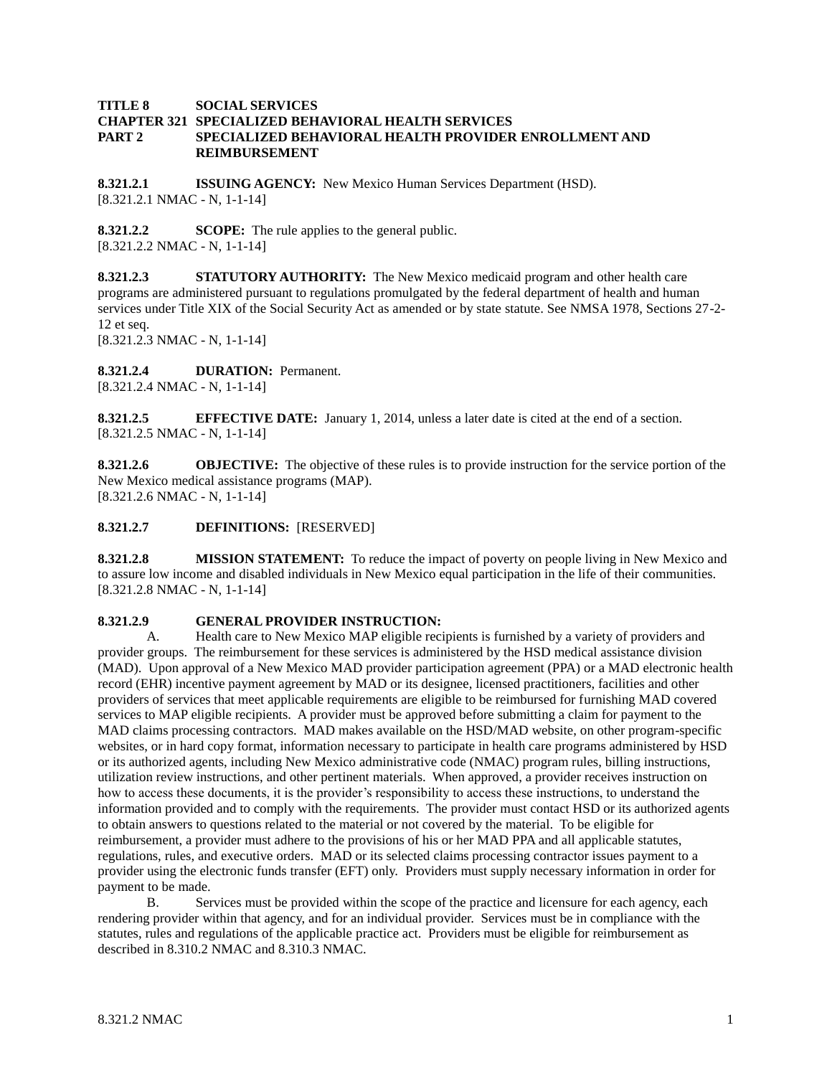## **TITLE 8 SOCIAL SERVICES CHAPTER 321 SPECIALIZED BEHAVIORAL HEALTH SERVICES PART 2 SPECIALIZED BEHAVIORAL HEALTH PROVIDER ENROLLMENT AND REIMBURSEMENT**

**8.321.2.1 ISSUING AGENCY:** New Mexico Human Services Department (HSD). [8.321.2.1 NMAC - N, 1-1-14]

**8.321.2.2 SCOPE:** The rule applies to the general public. [8.321.2.2 NMAC - N, 1-1-14]

**8.321.2.3 STATUTORY AUTHORITY:** The New Mexico medicaid program and other health care programs are administered pursuant to regulations promulgated by the federal department of health and human services under Title XIX of the Social Security Act as amended or by state statute. See NMSA 1978, Sections 27-2- 12 et seq.

[8.321.2.3 NMAC - N, 1-1-14]

### **8.321.2.4 DURATION:** Permanent.

[8.321.2.4 NMAC - N, 1-1-14]

**8.321.2.5 EFFECTIVE DATE:** January 1, 2014, unless a later date is cited at the end of a section. [8.321.2.5 NMAC - N, 1-1-14]

**8.321.2.6 OBJECTIVE:** The objective of these rules is to provide instruction for the service portion of the New Mexico medical assistance programs (MAP). [8.321.2.6 NMAC - N, 1-1-14]

**8.321.2.7 DEFINITIONS:** [RESERVED]

**8.321.2.8 MISSION STATEMENT:** To reduce the impact of poverty on people living in New Mexico and to assure low income and disabled individuals in New Mexico equal participation in the life of their communities. [8.321.2.8 NMAC - N, 1-1-14]

## **8.321.2.9 GENERAL PROVIDER INSTRUCTION:**

A. Health care to New Mexico MAP eligible recipients is furnished by a variety of providers and provider groups. The reimbursement for these services is administered by the HSD medical assistance division (MAD). Upon approval of a New Mexico MAD provider participation agreement (PPA) or a MAD electronic health record (EHR) incentive payment agreement by MAD or its designee, licensed practitioners, facilities and other providers of services that meet applicable requirements are eligible to be reimbursed for furnishing MAD covered services to MAP eligible recipients. A provider must be approved before submitting a claim for payment to the MAD claims processing contractors. MAD makes available on the HSD/MAD website, on other program-specific websites, or in hard copy format, information necessary to participate in health care programs administered by HSD or its authorized agents, including New Mexico administrative code (NMAC) program rules, billing instructions, utilization review instructions, and other pertinent materials. When approved, a provider receives instruction on how to access these documents, it is the provider's responsibility to access these instructions, to understand the information provided and to comply with the requirements. The provider must contact HSD or its authorized agents to obtain answers to questions related to the material or not covered by the material. To be eligible for reimbursement, a provider must adhere to the provisions of his or her MAD PPA and all applicable statutes, regulations, rules, and executive orders. MAD or its selected claims processing contractor issues payment to a provider using the electronic funds transfer (EFT) only. Providers must supply necessary information in order for payment to be made.

B. Services must be provided within the scope of the practice and licensure for each agency, each rendering provider within that agency, and for an individual provider. Services must be in compliance with the statutes, rules and regulations of the applicable practice act. Providers must be eligible for reimbursement as described in 8.310.2 NMAC and 8.310.3 NMAC.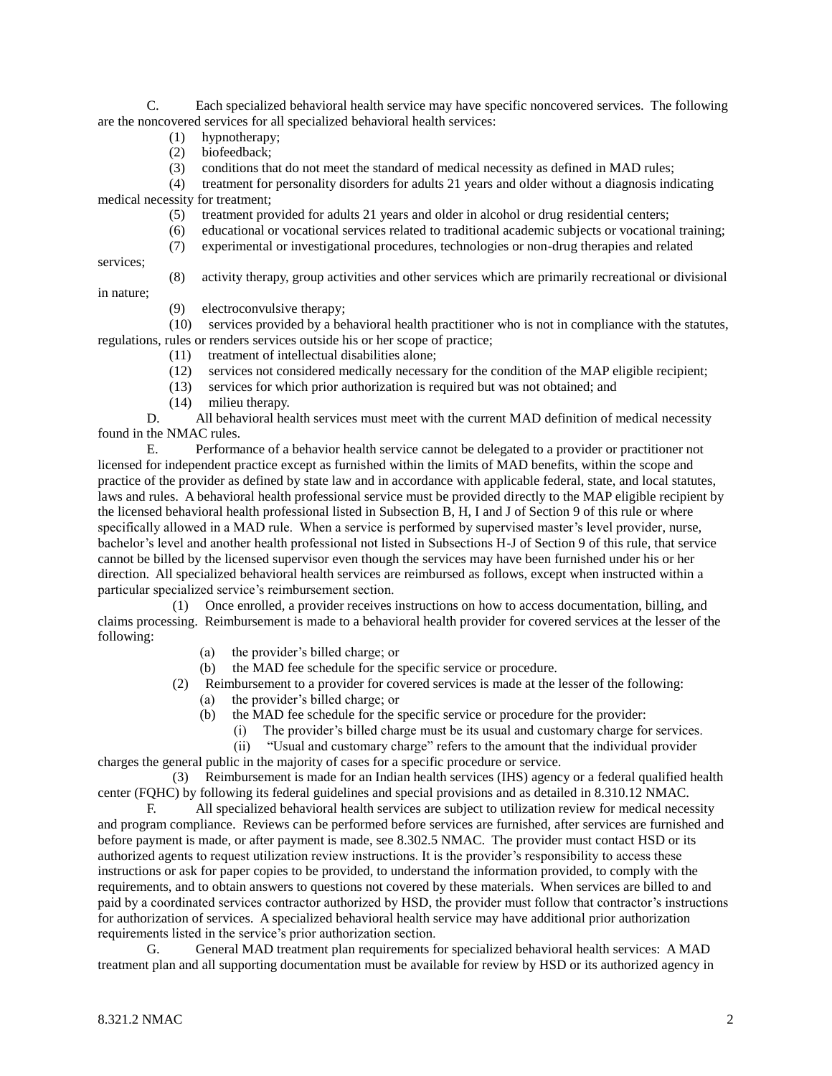C. Each specialized behavioral health service may have specific noncovered services. The following are the noncovered services for all specialized behavioral health services:

- (1) hypnotherapy;
- (2) biofeedback;
- (3) conditions that do not meet the standard of medical necessity as defined in MAD rules;

 (4) treatment for personality disorders for adults 21 years and older without a diagnosis indicating medical necessity for treatment;

- (5) treatment provided for adults 21 years and older in alcohol or drug residential centers;
- (6) educational or vocational services related to traditional academic subjects or vocational training;
- (7) experimental or investigational procedures, technologies or non-drug therapies and related

services;

(8) activity therapy, group activities and other services which are primarily recreational or divisional

in nature; (9) electroconvulsive therapy;

 (10) services provided by a behavioral health practitioner who is not in compliance with the statutes, regulations, rules or renders services outside his or her scope of practice;

- (11) treatment of intellectual disabilities alone;
- (12) services not considered medically necessary for the condition of the MAP eligible recipient;
- (13) services for which prior authorization is required but was not obtained; and
- (14) milieu therapy.

D. All behavioral health services must meet with the current MAD definition of medical necessity found in the NMAC rules.

E. Performance of a behavior health service cannot be delegated to a provider or practitioner not licensed for independent practice except as furnished within the limits of MAD benefits, within the scope and practice of the provider as defined by state law and in accordance with applicable federal, state, and local statutes, laws and rules. A behavioral health professional service must be provided directly to the MAP eligible recipient by the licensed behavioral health professional listed in Subsection B, H, I and J of Section 9 of this rule or where specifically allowed in a MAD rule. When a service is performed by supervised master's level provider, nurse, bachelor's level and another health professional not listed in Subsections H-J of Section 9 of this rule, that service cannot be billed by the licensed supervisor even though the services may have been furnished under his or her direction. All specialized behavioral health services are reimbursed as follows, except when instructed within a particular specialized service's reimbursement section.

 (1) Once enrolled, a provider receives instructions on how to access documentation, billing, and claims processing. Reimbursement is made to a behavioral health provider for covered services at the lesser of the following:

- (a) the provider's billed charge; or
- (b) the MAD fee schedule for the specific service or procedure.

(2) Reimbursement to a provider for covered services is made at the lesser of the following:

- (a) the provider's billed charge; or
- (b) the MAD fee schedule for the specific service or procedure for the provider:
	- (i) The provider's billed charge must be its usual and customary charge for services.
	- (ii) "Usual and customary charge" refers to the amount that the individual provider

charges the general public in the majority of cases for a specific procedure or service. (3) Reimbursement is made for an Indian health services (IHS) agency or a federal qualified health

center (FQHC) by following its federal guidelines and special provisions and as detailed in 8.310.12 NMAC.

F. All specialized behavioral health services are subject to utilization review for medical necessity and program compliance. Reviews can be performed before services are furnished, after services are furnished and before payment is made, or after payment is made, see 8.302.5 NMAC. The provider must contact HSD or its authorized agents to request utilization review instructions. It is the provider's responsibility to access these instructions or ask for paper copies to be provided, to understand the information provided, to comply with the requirements, and to obtain answers to questions not covered by these materials. When services are billed to and paid by a coordinated services contractor authorized by HSD, the provider must follow that contractor's instructions for authorization of services. A specialized behavioral health service may have additional prior authorization requirements listed in the service's prior authorization section.

G. General MAD treatment plan requirements for specialized behavioral health services: A MAD treatment plan and all supporting documentation must be available for review by HSD or its authorized agency in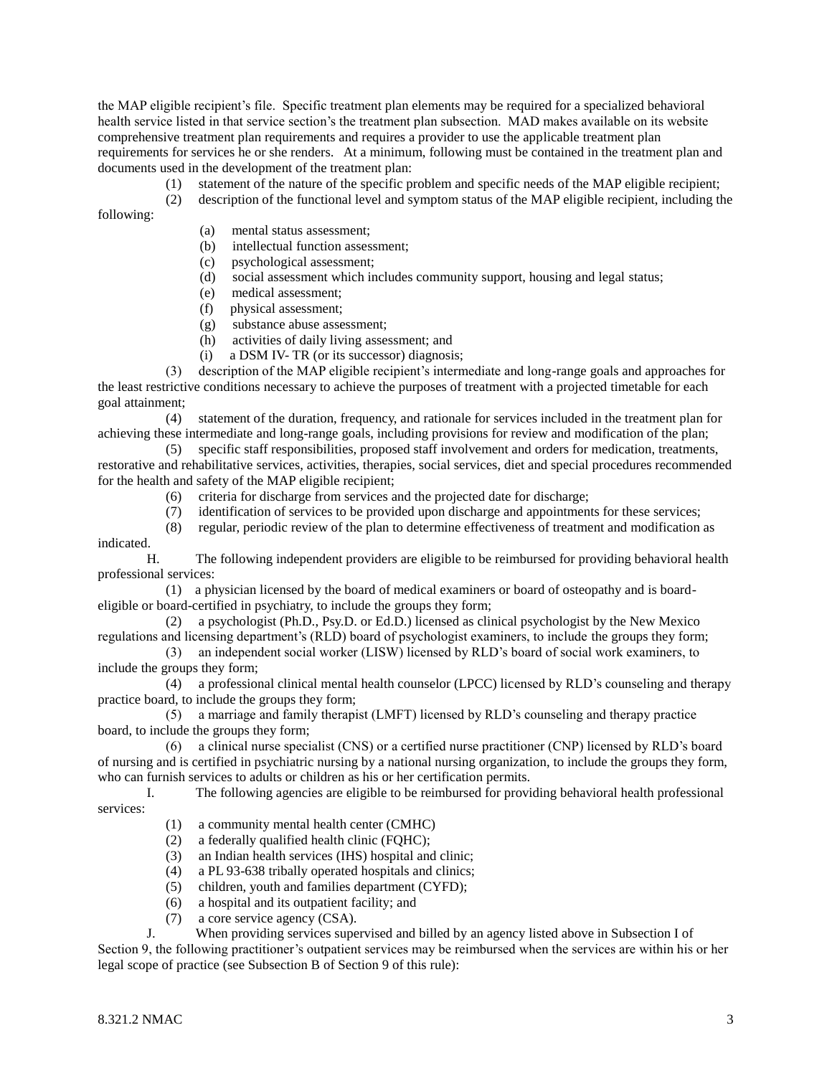the MAP eligible recipient's file. Specific treatment plan elements may be required for a specialized behavioral health service listed in that service section's the treatment plan subsection. MAD makes available on its website comprehensive treatment plan requirements and requires a provider to use the applicable treatment plan requirements for services he or she renders. At a minimum, following must be contained in the treatment plan and documents used in the development of the treatment plan:

- (1) statement of the nature of the specific problem and specific needs of the MAP eligible recipient;
- (2) description of the functional level and symptom status of the MAP eligible recipient, including the

following:

- (a) mental status assessment;
- (b) intellectual function assessment;
- (c) psychological assessment;
- (d) social assessment which includes community support, housing and legal status;
- (e) medical assessment;
- (f) physical assessment;
- (g) substance abuse assessment;
- (h) activities of daily living assessment; and
- (i) a DSM IV- TR (or its successor) diagnosis;

 (3) description of the MAP eligible recipient's intermediate and long-range goals and approaches for the least restrictive conditions necessary to achieve the purposes of treatment with a projected timetable for each goal attainment;

 (4) statement of the duration, frequency, and rationale for services included in the treatment plan for achieving these intermediate and long-range goals, including provisions for review and modification of the plan;

 (5) specific staff responsibilities, proposed staff involvement and orders for medication, treatments, restorative and rehabilitative services, activities, therapies, social services, diet and special procedures recommended for the health and safety of the MAP eligible recipient;

- (6) criteria for discharge from services and the projected date for discharge;
- (7) identification of services to be provided upon discharge and appointments for these services;
- (8) regular, periodic review of the plan to determine effectiveness of treatment and modification as indicated.

H. The following independent providers are eligible to be reimbursed for providing behavioral health professional services:

 (1) a physician licensed by the board of medical examiners or board of osteopathy and is boardeligible or board-certified in psychiatry, to include the groups they form;

 (2) a psychologist (Ph.D., Psy.D. or Ed.D.) licensed as clinical psychologist by the New Mexico regulations and licensing department's (RLD) board of psychologist examiners, to include the groups they form;

 (3) an independent social worker (LISW) licensed by RLD's board of social work examiners, to include the groups they form;

 (4) a professional clinical mental health counselor (LPCC) licensed by RLD's counseling and therapy practice board, to include the groups they form;

 (5) a marriage and family therapist (LMFT) licensed by RLD's counseling and therapy practice board, to include the groups they form;

 (6) a clinical nurse specialist (CNS) or a certified nurse practitioner (CNP) licensed by RLD's board of nursing and is certified in psychiatric nursing by a national nursing organization, to include the groups they form, who can furnish services to adults or children as his or her certification permits.

I. The following agencies are eligible to be reimbursed for providing behavioral health professional services:

- (1) a community mental health center (CMHC)
- (2) a federally qualified health clinic (FQHC);
- (3) an Indian health services (IHS) hospital and clinic;
- (4) a PL 93-638 tribally operated hospitals and clinics;
- (5) children, youth and families department (CYFD);
- (6) a hospital and its outpatient facility; and
- (7) a core service agency (CSA).

J. When providing services supervised and billed by an agency listed above in Subsection I of

Section 9, the following practitioner's outpatient services may be reimbursed when the services are within his or her legal scope of practice (see Subsection B of Section 9 of this rule):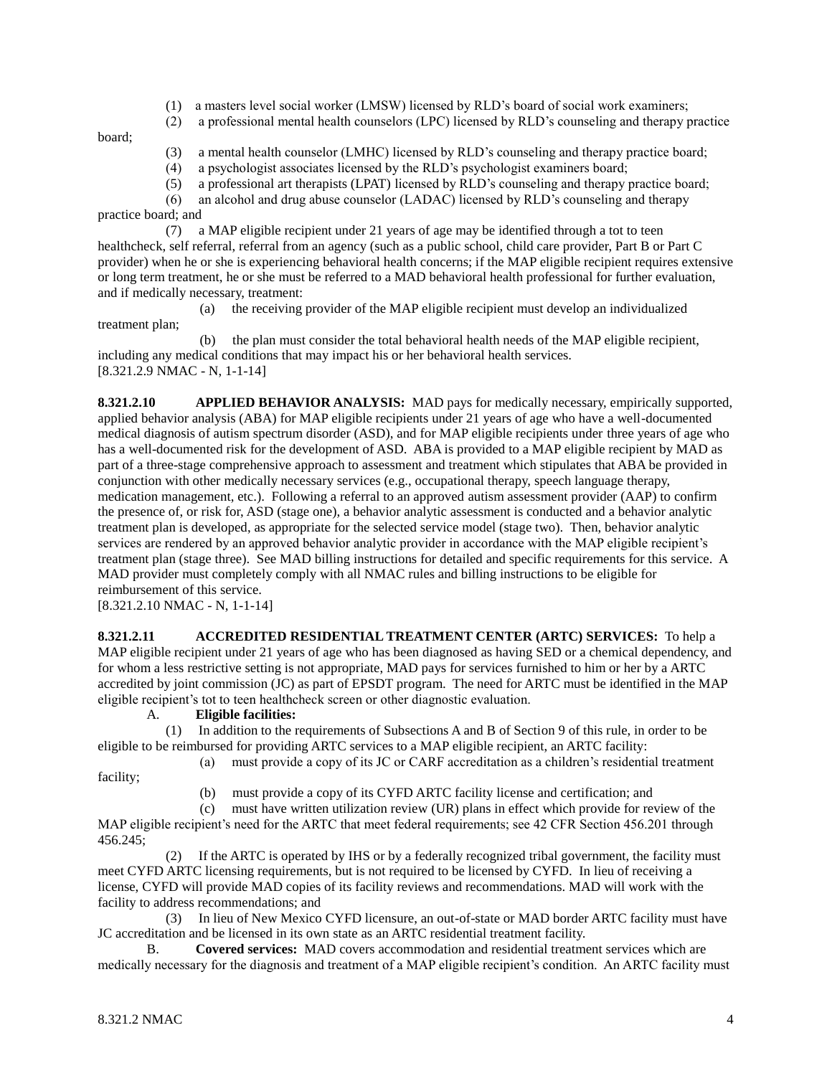- (1) a masters level social worker (LMSW) licensed by RLD's board of social work examiners;
- (2) a professional mental health counselors (LPC) licensed by RLD's counseling and therapy practice

board;

- (3) a mental health counselor (LMHC) licensed by RLD's counseling and therapy practice board;
- (4) a psychologist associates licensed by the RLD's psychologist examiners board;
- (5) a professional art therapists (LPAT) licensed by RLD's counseling and therapy practice board;
- (6) an alcohol and drug abuse counselor (LADAC) licensed by RLD's counseling and therapy

practice board; and

 (7) a MAP eligible recipient under 21 years of age may be identified through a tot to teen healthcheck, self referral, referral from an agency (such as a public school, child care provider, Part B or Part C provider) when he or she is experiencing behavioral health concerns; if the MAP eligible recipient requires extensive or long term treatment, he or she must be referred to a MAD behavioral health professional for further evaluation, and if medically necessary, treatment:

 (a) the receiving provider of the MAP eligible recipient must develop an individualized treatment plan;

 (b) the plan must consider the total behavioral health needs of the MAP eligible recipient, including any medical conditions that may impact his or her behavioral health services. [8.321.2.9 NMAC - N, 1-1-14]

**8.321.2.10 APPLIED BEHAVIOR ANALYSIS:** MAD pays for medically necessary, empirically supported, applied behavior analysis (ABA) for MAP eligible recipients under 21 years of age who have a well-documented medical diagnosis of autism spectrum disorder (ASD), and for MAP eligible recipients under three years of age who has a well-documented risk for the development of ASD. ABA is provided to a MAP eligible recipient by MAD as part of a three-stage comprehensive approach to assessment and treatment which stipulates that ABA be provided in conjunction with other medically necessary services (e.g., occupational therapy, speech language therapy, medication management, etc.). Following a referral to an approved autism assessment provider (AAP) to confirm the presence of, or risk for, ASD (stage one), a behavior analytic assessment is conducted and a behavior analytic treatment plan is developed, as appropriate for the selected service model (stage two). Then, behavior analytic services are rendered by an approved behavior analytic provider in accordance with the MAP eligible recipient's treatment plan (stage three). See MAD billing instructions for detailed and specific requirements for this service. A MAD provider must completely comply with all NMAC rules and billing instructions to be eligible for reimbursement of this service.

[8.321.2.10 NMAC - N, 1-1-14]

**8.321.2.11 ACCREDITED RESIDENTIAL TREATMENT CENTER (ARTC) SERVICES:** To help a MAP eligible recipient under 21 years of age who has been diagnosed as having SED or a chemical dependency, and for whom a less restrictive setting is not appropriate, MAD pays for services furnished to him or her by a ARTC accredited by joint commission (JC) as part of EPSDT program. The need for ARTC must be identified in the MAP eligible recipient's tot to teen healthcheck screen or other diagnostic evaluation.

# A. **Eligible facilities:**

 (1) In addition to the requirements of Subsections A and B of Section 9 of this rule, in order to be eligible to be reimbursed for providing ARTC services to a MAP eligible recipient, an ARTC facility:

(a) must provide a copy of its JC or CARF accreditation as a children's residential treatment

(b) must provide a copy of its CYFD ARTC facility license and certification; and

 (c) must have written utilization review (UR) plans in effect which provide for review of the MAP eligible recipient's need for the ARTC that meet federal requirements; see 42 CFR Section 456.201 through 456.245;

 (2) If the ARTC is operated by IHS or by a federally recognized tribal government, the facility must meet CYFD ARTC licensing requirements, but is not required to be licensed by CYFD. In lieu of receiving a license, CYFD will provide MAD copies of its facility reviews and recommendations. MAD will work with the facility to address recommendations; and

 (3) In lieu of New Mexico CYFD licensure, an out-of-state or MAD border ARTC facility must have JC accreditation and be licensed in its own state as an ARTC residential treatment facility.

B. **Covered services:** MAD covers accommodation and residential treatment services which are medically necessary for the diagnosis and treatment of a MAP eligible recipient's condition. An ARTC facility must

facility;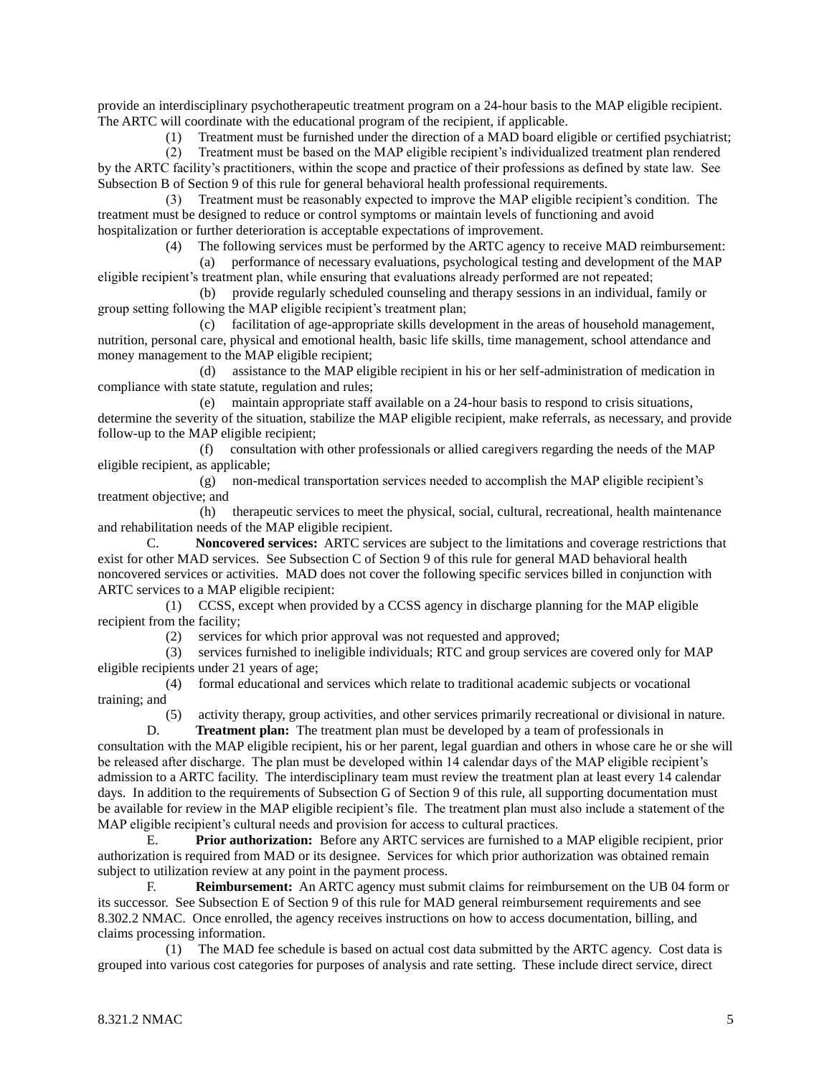provide an interdisciplinary psychotherapeutic treatment program on a 24-hour basis to the MAP eligible recipient. The ARTC will coordinate with the educational program of the recipient, if applicable.

(1) Treatment must be furnished under the direction of a MAD board eligible or certified psychiatrist;

 (2) Treatment must be based on the MAP eligible recipient's individualized treatment plan rendered by the ARTC facility's practitioners, within the scope and practice of their professions as defined by state law. See Subsection B of Section 9 of this rule for general behavioral health professional requirements.

 (3) Treatment must be reasonably expected to improve the MAP eligible recipient's condition. The treatment must be designed to reduce or control symptoms or maintain levels of functioning and avoid hospitalization or further deterioration is acceptable expectations of improvement.

(4) The following services must be performed by the ARTC agency to receive MAD reimbursement:

 (a) performance of necessary evaluations, psychological testing and development of the MAP eligible recipient's treatment plan, while ensuring that evaluations already performed are not repeated;

 (b) provide regularly scheduled counseling and therapy sessions in an individual, family or group setting following the MAP eligible recipient's treatment plan;

 (c) facilitation of age-appropriate skills development in the areas of household management, nutrition, personal care, physical and emotional health, basic life skills, time management, school attendance and money management to the MAP eligible recipient;

 (d) assistance to the MAP eligible recipient in his or her self-administration of medication in compliance with state statute, regulation and rules;

 (e) maintain appropriate staff available on a 24-hour basis to respond to crisis situations, determine the severity of the situation, stabilize the MAP eligible recipient, make referrals, as necessary, and provide follow-up to the MAP eligible recipient;

 (f) consultation with other professionals or allied caregivers regarding the needs of the MAP eligible recipient, as applicable;

 (g) non-medical transportation services needed to accomplish the MAP eligible recipient's treatment objective; and

 (h) therapeutic services to meet the physical, social, cultural, recreational, health maintenance and rehabilitation needs of the MAP eligible recipient.

C. **Noncovered services:** ARTC services are subject to the limitations and coverage restrictions that exist for other MAD services. See Subsection C of Section 9 of this rule for general MAD behavioral health noncovered services or activities. MAD does not cover the following specific services billed in conjunction with ARTC services to a MAP eligible recipient:

 (1) CCSS, except when provided by a CCSS agency in discharge planning for the MAP eligible recipient from the facility;

(2) services for which prior approval was not requested and approved;

 (3) services furnished to ineligible individuals; RTC and group services are covered only for MAP eligible recipients under 21 years of age;

 (4) formal educational and services which relate to traditional academic subjects or vocational training; and

 (5) activity therapy, group activities, and other services primarily recreational or divisional in nature. D. **Treatment plan:** The treatment plan must be developed by a team of professionals in

consultation with the MAP eligible recipient, his or her parent, legal guardian and others in whose care he or she will be released after discharge. The plan must be developed within 14 calendar days of the MAP eligible recipient's admission to a ARTC facility. The interdisciplinary team must review the treatment plan at least every 14 calendar days. In addition to the requirements of Subsection G of Section 9 of this rule, all supporting documentation must be available for review in the MAP eligible recipient's file. The treatment plan must also include a statement of the MAP eligible recipient's cultural needs and provision for access to cultural practices.

E. **Prior authorization:** Before any ARTC services are furnished to a MAP eligible recipient, prior authorization is required from MAD or its designee. Services for which prior authorization was obtained remain subject to utilization review at any point in the payment process.

F. **Reimbursement:** An ARTC agency must submit claims for reimbursement on the UB 04 form or its successor. See Subsection E of Section 9 of this rule for MAD general reimbursement requirements and see 8.302.2 NMAC. Once enrolled, the agency receives instructions on how to access documentation, billing, and claims processing information.

 (1) The MAD fee schedule is based on actual cost data submitted by the ARTC agency. Cost data is grouped into various cost categories for purposes of analysis and rate setting. These include direct service, direct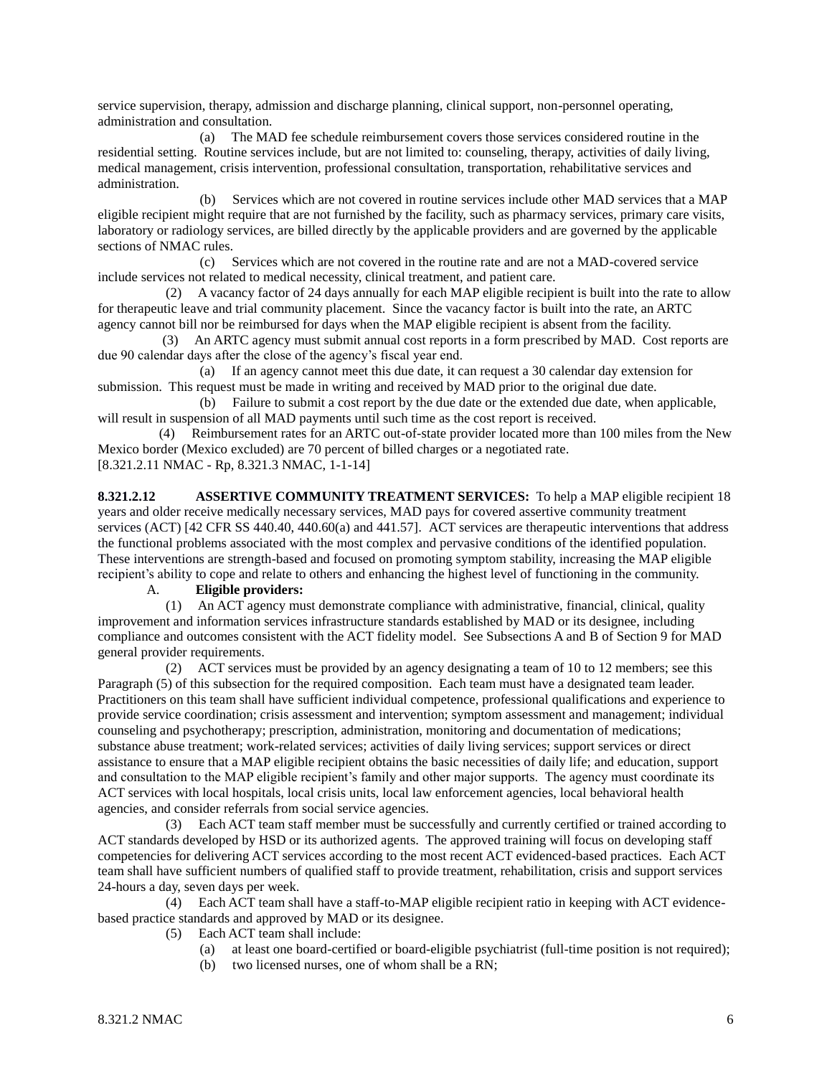service supervision, therapy, admission and discharge planning, clinical support, non-personnel operating, administration and consultation.

 (a) The MAD fee schedule reimbursement covers those services considered routine in the residential setting. Routine services include, but are not limited to: counseling, therapy, activities of daily living, medical management, crisis intervention, professional consultation, transportation, rehabilitative services and administration.

 (b) Services which are not covered in routine services include other MAD services that a MAP eligible recipient might require that are not furnished by the facility, such as pharmacy services, primary care visits, laboratory or radiology services, are billed directly by the applicable providers and are governed by the applicable sections of NMAC rules.

 (c) Services which are not covered in the routine rate and are not a MAD-covered service include services not related to medical necessity, clinical treatment, and patient care.

 (2) A vacancy factor of 24 days annually for each MAP eligible recipient is built into the rate to allow for therapeutic leave and trial community placement. Since the vacancy factor is built into the rate, an ARTC agency cannot bill nor be reimbursed for days when the MAP eligible recipient is absent from the facility.

 (3) An ARTC agency must submit annual cost reports in a form prescribed by MAD. Cost reports are due 90 calendar days after the close of the agency's fiscal year end.

 (a) If an agency cannot meet this due date, it can request a 30 calendar day extension for submission. This request must be made in writing and received by MAD prior to the original due date.

 (b) Failure to submit a cost report by the due date or the extended due date, when applicable, will result in suspension of all MAD payments until such time as the cost report is received.

 (4) Reimbursement rates for an ARTC out-of-state provider located more than 100 miles from the New Mexico border (Mexico excluded) are 70 percent of billed charges or a negotiated rate. [8.321.2.11 NMAC - Rp, 8.321.3 NMAC, 1-1-14]

**8.321.2.12 ASSERTIVE COMMUNITY TREATMENT SERVICES:** To help a MAP eligible recipient 18 years and older receive medically necessary services, MAD pays for covered assertive community treatment services (ACT) [42 CFR SS 440.40, 440.60(a) and 441.57]. ACT services are therapeutic interventions that address the functional problems associated with the most complex and pervasive conditions of the identified population. These interventions are strength-based and focused on promoting symptom stability, increasing the MAP eligible recipient's ability to cope and relate to others and enhancing the highest level of functioning in the community.

#### A. **Eligible providers:**

 (1) An ACT agency must demonstrate compliance with administrative, financial, clinical, quality improvement and information services infrastructure standards established by MAD or its designee, including compliance and outcomes consistent with the ACT fidelity model. See Subsections A and B of Section 9 for MAD general provider requirements.

 (2) ACT services must be provided by an agency designating a team of 10 to 12 members; see this Paragraph (5) of this subsection for the required composition. Each team must have a designated team leader. Practitioners on this team shall have sufficient individual competence, professional qualifications and experience to provide service coordination; crisis assessment and intervention; symptom assessment and management; individual counseling and psychotherapy; prescription, administration, monitoring and documentation of medications; substance abuse treatment; work-related services; activities of daily living services; support services or direct assistance to ensure that a MAP eligible recipient obtains the basic necessities of daily life; and education, support and consultation to the MAP eligible recipient's family and other major supports. The agency must coordinate its ACT services with local hospitals, local crisis units, local law enforcement agencies, local behavioral health agencies, and consider referrals from social service agencies.

 (3) Each ACT team staff member must be successfully and currently certified or trained according to ACT standards developed by HSD or its authorized agents. The approved training will focus on developing staff competencies for delivering ACT services according to the most recent ACT evidenced-based practices. Each ACT team shall have sufficient numbers of qualified staff to provide treatment, rehabilitation, crisis and support services 24-hours a day, seven days per week.

 (4) Each ACT team shall have a staff-to-MAP eligible recipient ratio in keeping with ACT evidencebased practice standards and approved by MAD or its designee.

- (5) Each ACT team shall include:
	- (a) at least one board-certified or board-eligible psychiatrist (full-time position is not required);
	- (b) two licensed nurses, one of whom shall be a RN;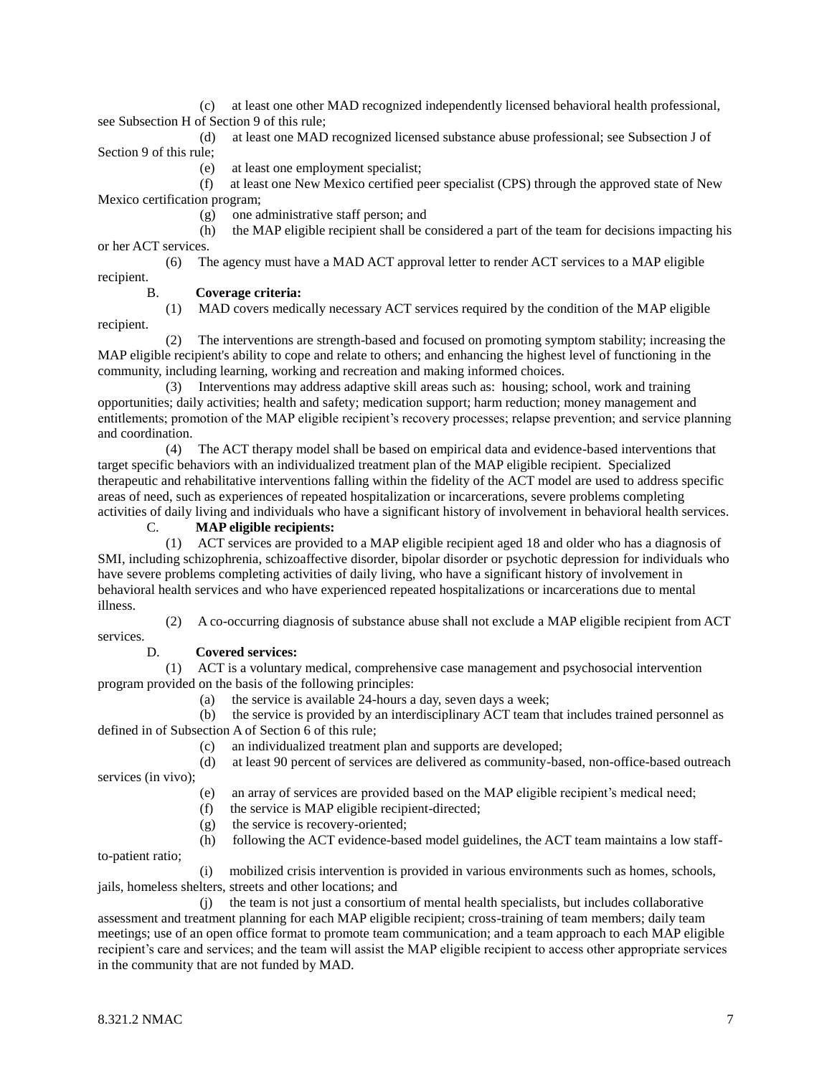(c) at least one other MAD recognized independently licensed behavioral health professional, see Subsection H of Section 9 of this rule;

 (d) at least one MAD recognized licensed substance abuse professional; see Subsection J of Section 9 of this rule;

(e) at least one employment specialist;

 (f) at least one New Mexico certified peer specialist (CPS) through the approved state of New Mexico certification program;

(g) one administrative staff person; and

 (h) the MAP eligible recipient shall be considered a part of the team for decisions impacting his or her ACT services.

 (6) The agency must have a MAD ACT approval letter to render ACT services to a MAP eligible recipient.

### B. **Coverage criteria:**

 (1) MAD covers medically necessary ACT services required by the condition of the MAP eligible recipient.

 (2) The interventions are strength-based and focused on promoting symptom stability; increasing the MAP eligible recipient's ability to cope and relate to others; and enhancing the highest level of functioning in the community, including learning, working and recreation and making informed choices.

 (3) Interventions may address adaptive skill areas such as: housing; school, work and training opportunities; daily activities; health and safety; medication support; harm reduction; money management and entitlements; promotion of the MAP eligible recipient's recovery processes; relapse prevention; and service planning and coordination.

 (4) The ACT therapy model shall be based on empirical data and evidence-based interventions that target specific behaviors with an individualized treatment plan of the MAP eligible recipient. Specialized therapeutic and rehabilitative interventions falling within the fidelity of the ACT model are used to address specific areas of need, such as experiences of repeated hospitalization or incarcerations, severe problems completing activities of daily living and individuals who have a significant history of involvement in behavioral health services.

# C. **MAP eligible recipients:**

 (1) ACT services are provided to a MAP eligible recipient aged 18 and older who has a diagnosis of SMI, including schizophrenia, schizoaffective disorder, bipolar disorder or psychotic depression for individuals who have severe problems completing activities of daily living, who have a significant history of involvement in behavioral health services and who have experienced repeated hospitalizations or incarcerations due to mental illness.

 (2) A co-occurring diagnosis of substance abuse shall not exclude a MAP eligible recipient from ACT services.

# D. **Covered services:**

 (1) ACT is a voluntary medical, comprehensive case management and psychosocial intervention program provided on the basis of the following principles:

(a) the service is available 24-hours a day, seven days a week;

 (b) the service is provided by an interdisciplinary ACT team that includes trained personnel as defined in of Subsection A of Section 6 of this rule;

(c) an individualized treatment plan and supports are developed;

(d) at least 90 percent of services are delivered as community-based, non-office-based outreach

services (in vivo);

- (e) an array of services are provided based on the MAP eligible recipient's medical need;
- (f) the service is MAP eligible recipient-directed;
- (g) the service is recovery-oriented;
- (h) following the ACT evidence-based model guidelines, the ACT team maintains a low staff-

to-patient ratio;

 (i) mobilized crisis intervention is provided in various environments such as homes, schools, jails, homeless shelters, streets and other locations; and

 (j) the team is not just a consortium of mental health specialists, but includes collaborative assessment and treatment planning for each MAP eligible recipient; cross-training of team members; daily team meetings; use of an open office format to promote team communication; and a team approach to each MAP eligible recipient's care and services; and the team will assist the MAP eligible recipient to access other appropriate services in the community that are not funded by MAD.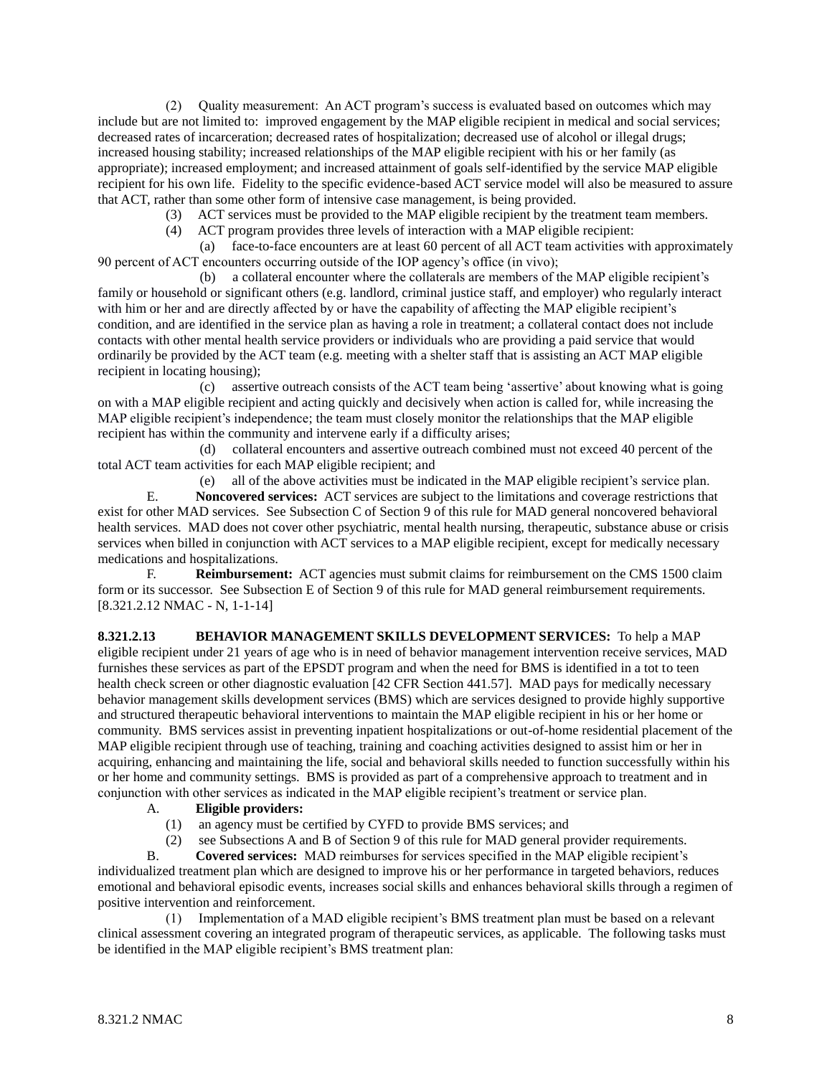(2) Quality measurement: An ACT program's success is evaluated based on outcomes which may include but are not limited to: improved engagement by the MAP eligible recipient in medical and social services; decreased rates of incarceration; decreased rates of hospitalization; decreased use of alcohol or illegal drugs; increased housing stability; increased relationships of the MAP eligible recipient with his or her family (as appropriate); increased employment; and increased attainment of goals self-identified by the service MAP eligible recipient for his own life. Fidelity to the specific evidence-based ACT service model will also be measured to assure that ACT, rather than some other form of intensive case management, is being provided.

- (3) ACT services must be provided to the MAP eligible recipient by the treatment team members.
- (4) ACT program provides three levels of interaction with a MAP eligible recipient:

 (a) face-to-face encounters are at least 60 percent of all ACT team activities with approximately 90 percent of ACT encounters occurring outside of the IOP agency's office (in vivo);

 (b) a collateral encounter where the collaterals are members of the MAP eligible recipient's family or household or significant others (e.g. landlord, criminal justice staff, and employer) who regularly interact with him or her and are directly affected by or have the capability of affecting the MAP eligible recipient's condition, and are identified in the service plan as having a role in treatment; a collateral contact does not include contacts with other mental health service providers or individuals who are providing a paid service that would ordinarily be provided by the ACT team (e.g. meeting with a shelter staff that is assisting an ACT MAP eligible recipient in locating housing);

 (c) assertive outreach consists of the ACT team being 'assertive' about knowing what is going on with a MAP eligible recipient and acting quickly and decisively when action is called for, while increasing the MAP eligible recipient's independence; the team must closely monitor the relationships that the MAP eligible recipient has within the community and intervene early if a difficulty arises;

 (d) collateral encounters and assertive outreach combined must not exceed 40 percent of the total ACT team activities for each MAP eligible recipient; and

(e) all of the above activities must be indicated in the MAP eligible recipient's service plan.

E. **Noncovered services:** ACT services are subject to the limitations and coverage restrictions that exist for other MAD services. See Subsection C of Section 9 of this rule for MAD general noncovered behavioral health services. MAD does not cover other psychiatric, mental health nursing, therapeutic, substance abuse or crisis services when billed in conjunction with ACT services to a MAP eligible recipient, except for medically necessary medications and hospitalizations.

F. **Reimbursement:** ACT agencies must submit claims for reimbursement on the CMS 1500 claim form or its successor. See Subsection E of Section 9 of this rule for MAD general reimbursement requirements. [8.321.2.12 NMAC - N, 1-1-14]

**8.321.2.13 BEHAVIOR MANAGEMENT SKILLS DEVELOPMENT SERVICES:** To help a MAP eligible recipient under 21 years of age who is in need of behavior management intervention receive services, MAD furnishes these services as part of the EPSDT program and when the need for BMS is identified in a tot to teen health check screen or other diagnostic evaluation [42 CFR Section 441.57]. MAD pays for medically necessary behavior management skills development services (BMS) which are services designed to provide highly supportive and structured therapeutic behavioral interventions to maintain the MAP eligible recipient in his or her home or community. BMS services assist in preventing inpatient hospitalizations or out-of-home residential placement of the MAP eligible recipient through use of teaching, training and coaching activities designed to assist him or her in acquiring, enhancing and maintaining the life, social and behavioral skills needed to function successfully within his or her home and community settings. BMS is provided as part of a comprehensive approach to treatment and in conjunction with other services as indicated in the MAP eligible recipient's treatment or service plan.

## A. **Eligible providers:**

- (1) an agency must be certified by CYFD to provide BMS services; and
- (2) see Subsections A and B of Section 9 of this rule for MAD general provider requirements.

B. **Covered services:** MAD reimburses for services specified in the MAP eligible recipient's individualized treatment plan which are designed to improve his or her performance in targeted behaviors, reduces emotional and behavioral episodic events, increases social skills and enhances behavioral skills through a regimen of positive intervention and reinforcement.

 (1) Implementation of a MAD eligible recipient's BMS treatment plan must be based on a relevant clinical assessment covering an integrated program of therapeutic services, as applicable. The following tasks must be identified in the MAP eligible recipient's BMS treatment plan: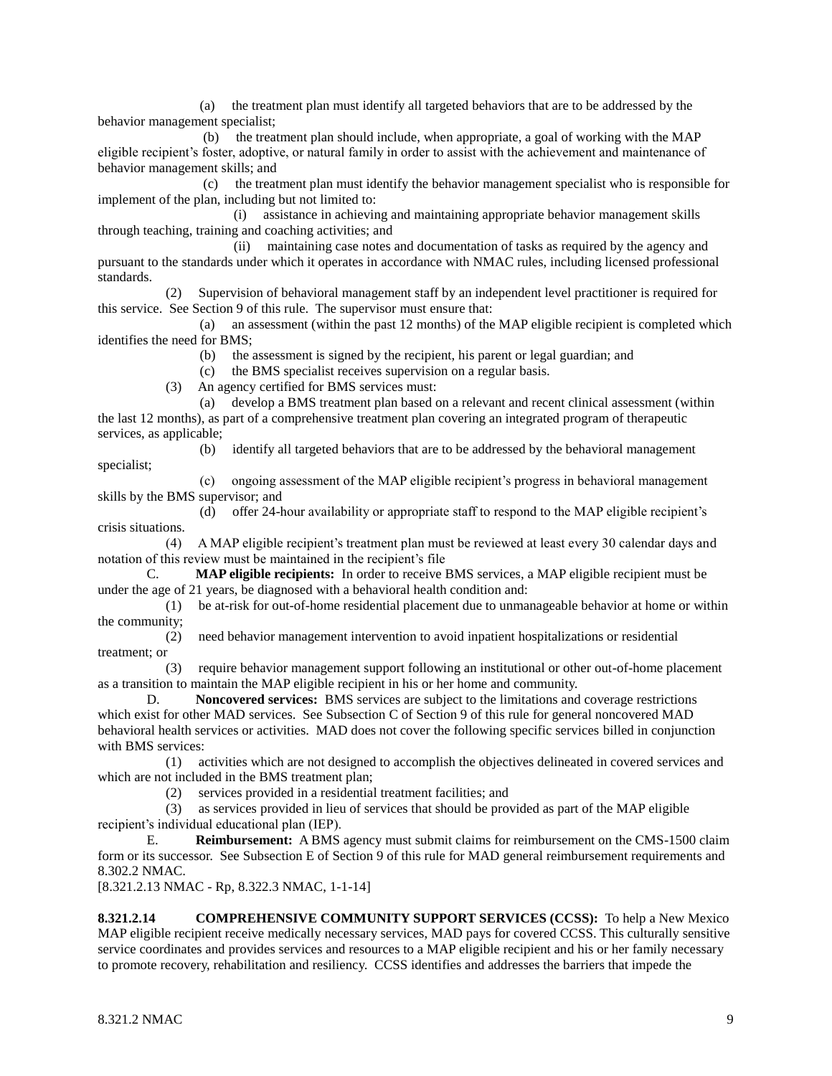(a) the treatment plan must identify all targeted behaviors that are to be addressed by the behavior management specialist;

 (b) the treatment plan should include, when appropriate, a goal of working with the MAP eligible recipient's foster, adoptive, or natural family in order to assist with the achievement and maintenance of behavior management skills; and

 (c) the treatment plan must identify the behavior management specialist who is responsible for implement of the plan, including but not limited to:

 (i) assistance in achieving and maintaining appropriate behavior management skills through teaching, training and coaching activities; and

 (ii) maintaining case notes and documentation of tasks as required by the agency and pursuant to the standards under which it operates in accordance with NMAC rules, including licensed professional standards.

 (2) Supervision of behavioral management staff by an independent level practitioner is required for this service. See Section 9 of this rule. The supervisor must ensure that:

 (a) an assessment (within the past 12 months) of the MAP eligible recipient is completed which identifies the need for BMS;

(b) the assessment is signed by the recipient, his parent or legal guardian; and

(c) the BMS specialist receives supervision on a regular basis.

(3) An agency certified for BMS services must:

 (a) develop a BMS treatment plan based on a relevant and recent clinical assessment (within the last 12 months), as part of a comprehensive treatment plan covering an integrated program of therapeutic services, as applicable;

(b) identify all targeted behaviors that are to be addressed by the behavioral management

 (c) ongoing assessment of the MAP eligible recipient's progress in behavioral management skills by the BMS supervisor; and

 (d) offer 24-hour availability or appropriate staff to respond to the MAP eligible recipient's crisis situations.

 (4) A MAP eligible recipient's treatment plan must be reviewed at least every 30 calendar days and notation of this review must be maintained in the recipient's file

C. **MAP eligible recipients:** In order to receive BMS services, a MAP eligible recipient must be under the age of 21 years, be diagnosed with a behavioral health condition and:

 (1) be at-risk for out-of-home residential placement due to unmanageable behavior at home or within the community;

 (2) need behavior management intervention to avoid inpatient hospitalizations or residential treatment; or

 (3) require behavior management support following an institutional or other out-of-home placement as a transition to maintain the MAP eligible recipient in his or her home and community.

D. **Noncovered services:** BMS services are subject to the limitations and coverage restrictions which exist for other MAD services. See Subsection C of Section 9 of this rule for general noncovered MAD behavioral health services or activities. MAD does not cover the following specific services billed in conjunction with BMS services:

 (1) activities which are not designed to accomplish the objectives delineated in covered services and which are not included in the BMS treatment plan;

(2) services provided in a residential treatment facilities; and

 (3) as services provided in lieu of services that should be provided as part of the MAP eligible recipient's individual educational plan (IEP).

E. **Reimbursement:** A BMS agency must submit claims for reimbursement on the CMS-1500 claim form or its successor. See Subsection E of Section 9 of this rule for MAD general reimbursement requirements and 8.302.2 NMAC.

[8.321.2.13 NMAC - Rp, 8.322.3 NMAC, 1-1-14]

**8.321.2.14 COMPREHENSIVE COMMUNITY SUPPORT SERVICES (CCSS):** To help a New Mexico MAP eligible recipient receive medically necessary services, MAD pays for covered CCSS. This culturally sensitive service coordinates and provides services and resources to a MAP eligible recipient and his or her family necessary to promote recovery, rehabilitation and resiliency. CCSS identifies and addresses the barriers that impede the

specialist;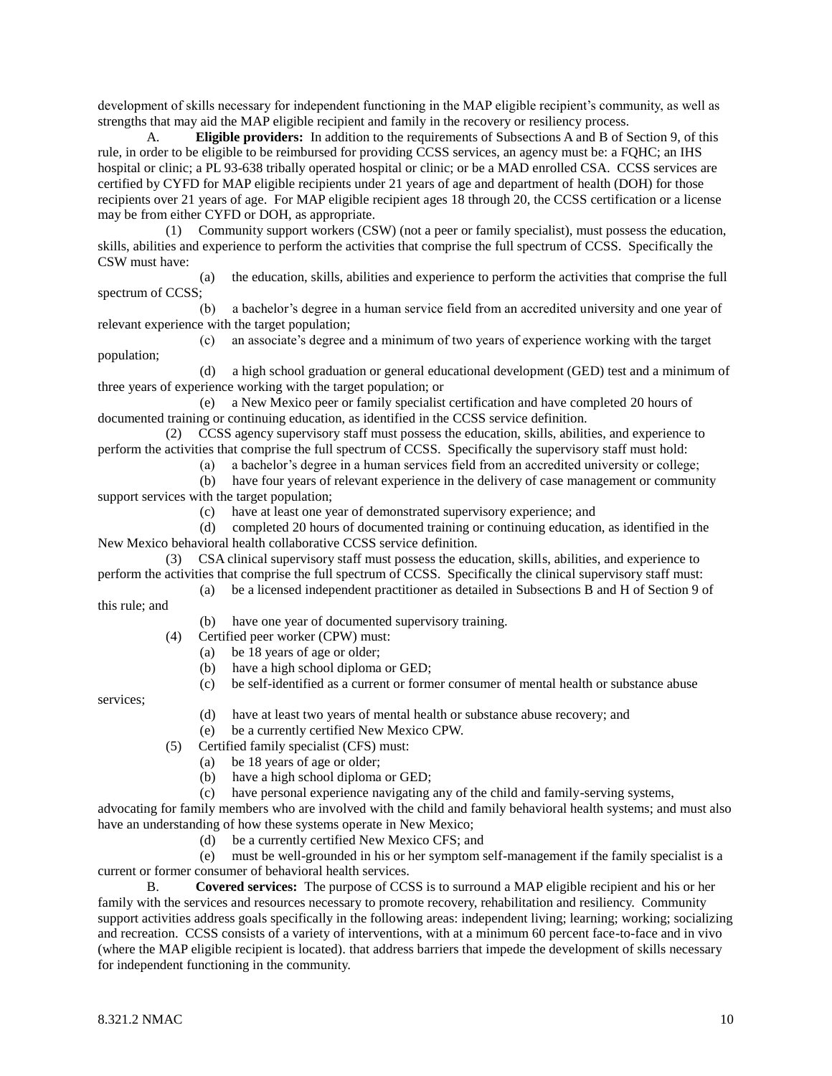development of skills necessary for independent functioning in the MAP eligible recipient's community, as well as strengths that may aid the MAP eligible recipient and family in the recovery or resiliency process.

A. **Eligible providers:** In addition to the requirements of Subsections A and B of Section 9, of this rule, in order to be eligible to be reimbursed for providing CCSS services, an agency must be: a FQHC; an IHS hospital or clinic; a PL 93-638 tribally operated hospital or clinic; or be a MAD enrolled CSA. CCSS services are certified by CYFD for MAP eligible recipients under 21 years of age and department of health (DOH) for those recipients over 21 years of age. For MAP eligible recipient ages 18 through 20, the CCSS certification or a license may be from either CYFD or DOH, as appropriate.

 (1) Community support workers (CSW) (not a peer or family specialist), must possess the education, skills, abilities and experience to perform the activities that comprise the full spectrum of CCSS. Specifically the CSW must have:

 (a) the education, skills, abilities and experience to perform the activities that comprise the full spectrum of CCSS;

 (b) a bachelor's degree in a human service field from an accredited university and one year of relevant experience with the target population;

 (c) an associate's degree and a minimum of two years of experience working with the target population;

 (d) a high school graduation or general educational development (GED) test and a minimum of three years of experience working with the target population; or

 (e) a New Mexico peer or family specialist certification and have completed 20 hours of documented training or continuing education, as identified in the CCSS service definition.

 (2) CCSS agency supervisory staff must possess the education, skills, abilities, and experience to perform the activities that comprise the full spectrum of CCSS. Specifically the supervisory staff must hold:

(a) a bachelor's degree in a human services field from an accredited university or college;

 (b) have four years of relevant experience in the delivery of case management or community support services with the target population;

(c) have at least one year of demonstrated supervisory experience; and

 (d) completed 20 hours of documented training or continuing education, as identified in the New Mexico behavioral health collaborative CCSS service definition.

 (3) CSA clinical supervisory staff must possess the education, skills, abilities, and experience to perform the activities that comprise the full spectrum of CCSS. Specifically the clinical supervisory staff must:

(a) be a licensed independent practitioner as detailed in Subsections B and H of Section 9 of

this rule; and

(b) have one year of documented supervisory training.

(4) Certified peer worker (CPW) must:

- (a) be 18 years of age or older;
- (b) have a high school diploma or GED;
- (c) be self-identified as a current or former consumer of mental health or substance abuse

services;

- (d) have at least two years of mental health or substance abuse recovery; and
- (e) be a currently certified New Mexico CPW.
- (5) Certified family specialist (CFS) must:
	- (a) be 18 years of age or older;
	- (b) have a high school diploma or GED;
	- (c) have personal experience navigating any of the child and family-serving systems,

advocating for family members who are involved with the child and family behavioral health systems; and must also have an understanding of how these systems operate in New Mexico;

(d) be a currently certified New Mexico CFS; and

 (e) must be well-grounded in his or her symptom self-management if the family specialist is a current or former consumer of behavioral health services.

B. **Covered services:** The purpose of CCSS is to surround a MAP eligible recipient and his or her family with the services and resources necessary to promote recovery, rehabilitation and resiliency. Community support activities address goals specifically in the following areas: independent living; learning; working; socializing and recreation. CCSS consists of a variety of interventions, with at a minimum 60 percent face-to-face and in vivo (where the MAP eligible recipient is located). that address barriers that impede the development of skills necessary for independent functioning in the community.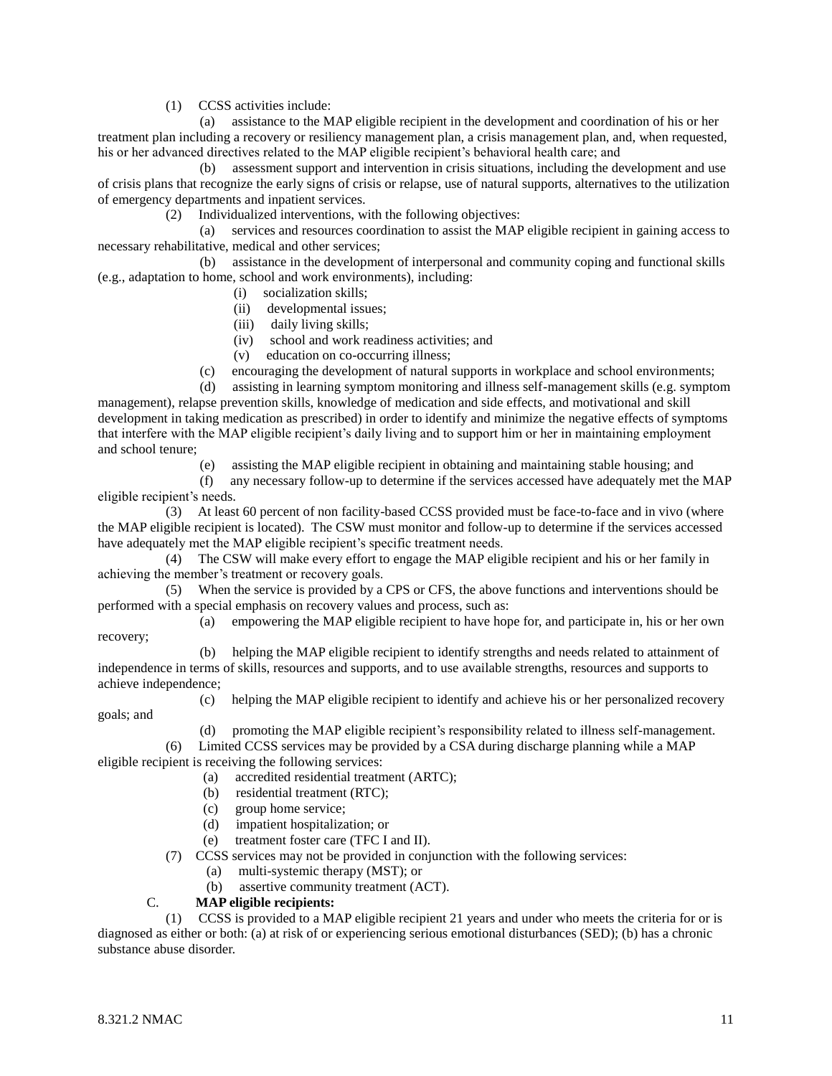(1) CCSS activities include:

 (a) assistance to the MAP eligible recipient in the development and coordination of his or her treatment plan including a recovery or resiliency management plan, a crisis management plan, and, when requested, his or her advanced directives related to the MAP eligible recipient's behavioral health care; and

 (b) assessment support and intervention in crisis situations, including the development and use of crisis plans that recognize the early signs of crisis or relapse, use of natural supports, alternatives to the utilization of emergency departments and inpatient services.

(2) Individualized interventions, with the following objectives:

 (a) services and resources coordination to assist the MAP eligible recipient in gaining access to necessary rehabilitative, medical and other services;

 (b) assistance in the development of interpersonal and community coping and functional skills (e.g., adaptation to home, school and work environments), including:

- (i) socialization skills;
- (ii) developmental issues;
- (iii) daily living skills;
- (iv) school and work readiness activities; and
- (v) education on co-occurring illness;
- (c) encouraging the development of natural supports in workplace and school environments;

 (d) assisting in learning symptom monitoring and illness self-management skills (e.g. symptom management), relapse prevention skills, knowledge of medication and side effects, and motivational and skill development in taking medication as prescribed) in order to identify and minimize the negative effects of symptoms that interfere with the MAP eligible recipient's daily living and to support him or her in maintaining employment and school tenure;

(e) assisting the MAP eligible recipient in obtaining and maintaining stable housing; and

 (f) any necessary follow-up to determine if the services accessed have adequately met the MAP eligible recipient's needs.

 (3) At least 60 percent of non facility-based CCSS provided must be face-to-face and in vivo (where the MAP eligible recipient is located). The CSW must monitor and follow-up to determine if the services accessed have adequately met the MAP eligible recipient's specific treatment needs.

 (4) The CSW will make every effort to engage the MAP eligible recipient and his or her family in achieving the member's treatment or recovery goals.

 (5) When the service is provided by a CPS or CFS, the above functions and interventions should be performed with a special emphasis on recovery values and process, such as:

 (a) empowering the MAP eligible recipient to have hope for, and participate in, his or her own recovery;

 (b) helping the MAP eligible recipient to identify strengths and needs related to attainment of independence in terms of skills, resources and supports, and to use available strengths, resources and supports to achieve independence;

goals; and

(c) helping the MAP eligible recipient to identify and achieve his or her personalized recovery

(d) promoting the MAP eligible recipient's responsibility related to illness self-management.

 (6) Limited CCSS services may be provided by a CSA during discharge planning while a MAP eligible recipient is receiving the following services:

- (a) accredited residential treatment (ARTC);
- (b) residential treatment (RTC);
- (c) group home service;
- (d) impatient hospitalization; or
	- (e) treatment foster care (TFC I and II).

(7) CCSS services may not be provided in conjunction with the following services:

- (a) multi-systemic therapy (MST); or
- (b) assertive community treatment (ACT).

# C. **MAP eligible recipients:**

 (1) CCSS is provided to a MAP eligible recipient 21 years and under who meets the criteria for or is diagnosed as either or both: (a) at risk of or experiencing serious emotional disturbances (SED); (b) has a chronic substance abuse disorder.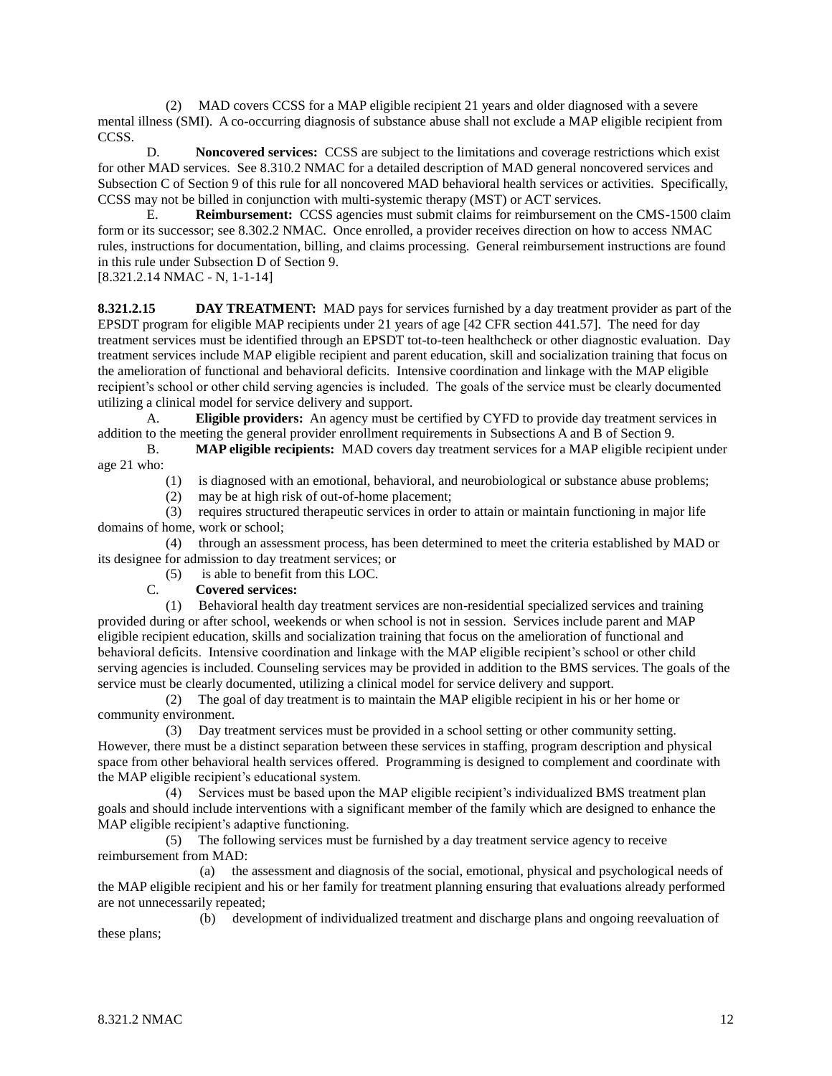(2) MAD covers CCSS for a MAP eligible recipient 21 years and older diagnosed with a severe mental illness (SMI). A co-occurring diagnosis of substance abuse shall not exclude a MAP eligible recipient from CCSS.

D. **Noncovered services:** CCSS are subject to the limitations and coverage restrictions which exist for other MAD services. See 8.310.2 NMAC for a detailed description of MAD general noncovered services and Subsection C of Section 9 of this rule for all noncovered MAD behavioral health services or activities. Specifically, CCSS may not be billed in conjunction with multi-systemic therapy (MST) or ACT services.

E. **Reimbursement:** CCSS agencies must submit claims for reimbursement on the CMS-1500 claim form or its successor; see 8.302.2 NMAC. Once enrolled, a provider receives direction on how to access NMAC rules, instructions for documentation, billing, and claims processing. General reimbursement instructions are found in this rule under Subsection D of Section 9.

[8.321.2.14 NMAC - N, 1-1-14]

**8.321.2.15 DAY TREATMENT:** MAD pays for services furnished by a day treatment provider as part of the EPSDT program for eligible MAP recipients under 21 years of age [42 CFR section 441.57]. The need for day treatment services must be identified through an EPSDT tot-to-teen healthcheck or other diagnostic evaluation. Day treatment services include MAP eligible recipient and parent education, skill and socialization training that focus on the amelioration of functional and behavioral deficits. Intensive coordination and linkage with the MAP eligible recipient's school or other child serving agencies is included. The goals of the service must be clearly documented utilizing a clinical model for service delivery and support.

A. **Eligible providers:** An agency must be certified by CYFD to provide day treatment services in addition to the meeting the general provider enrollment requirements in Subsections A and B of Section 9.

B. **MAP eligible recipients:** MAD covers day treatment services for a MAP eligible recipient under age 21 who:

(1) is diagnosed with an emotional, behavioral, and neurobiological or substance abuse problems;

(2) may be at high risk of out-of-home placement;

 (3) requires structured therapeutic services in order to attain or maintain functioning in major life domains of home, work or school;

 (4) through an assessment process, has been determined to meet the criteria established by MAD or its designee for admission to day treatment services; or

(5) is able to benefit from this LOC.

#### C. **Covered services:**

 (1) Behavioral health day treatment services are non-residential specialized services and training provided during or after school, weekends or when school is not in session. Services include parent and MAP eligible recipient education, skills and socialization training that focus on the amelioration of functional and behavioral deficits. Intensive coordination and linkage with the MAP eligible recipient's school or other child serving agencies is included. Counseling services may be provided in addition to the BMS services. The goals of the service must be clearly documented, utilizing a clinical model for service delivery and support.

 (2) The goal of day treatment is to maintain the MAP eligible recipient in his or her home or community environment.

 (3) Day treatment services must be provided in a school setting or other community setting. However, there must be a distinct separation between these services in staffing, program description and physical space from other behavioral health services offered. Programming is designed to complement and coordinate with the MAP eligible recipient's educational system.

 (4) Services must be based upon the MAP eligible recipient's individualized BMS treatment plan goals and should include interventions with a significant member of the family which are designed to enhance the MAP eligible recipient's adaptive functioning.

 (5) The following services must be furnished by a day treatment service agency to receive reimbursement from MAD:

 (a) the assessment and diagnosis of the social, emotional, physical and psychological needs of the MAP eligible recipient and his or her family for treatment planning ensuring that evaluations already performed are not unnecessarily repeated;

 (b) development of individualized treatment and discharge plans and ongoing reevaluation of these plans;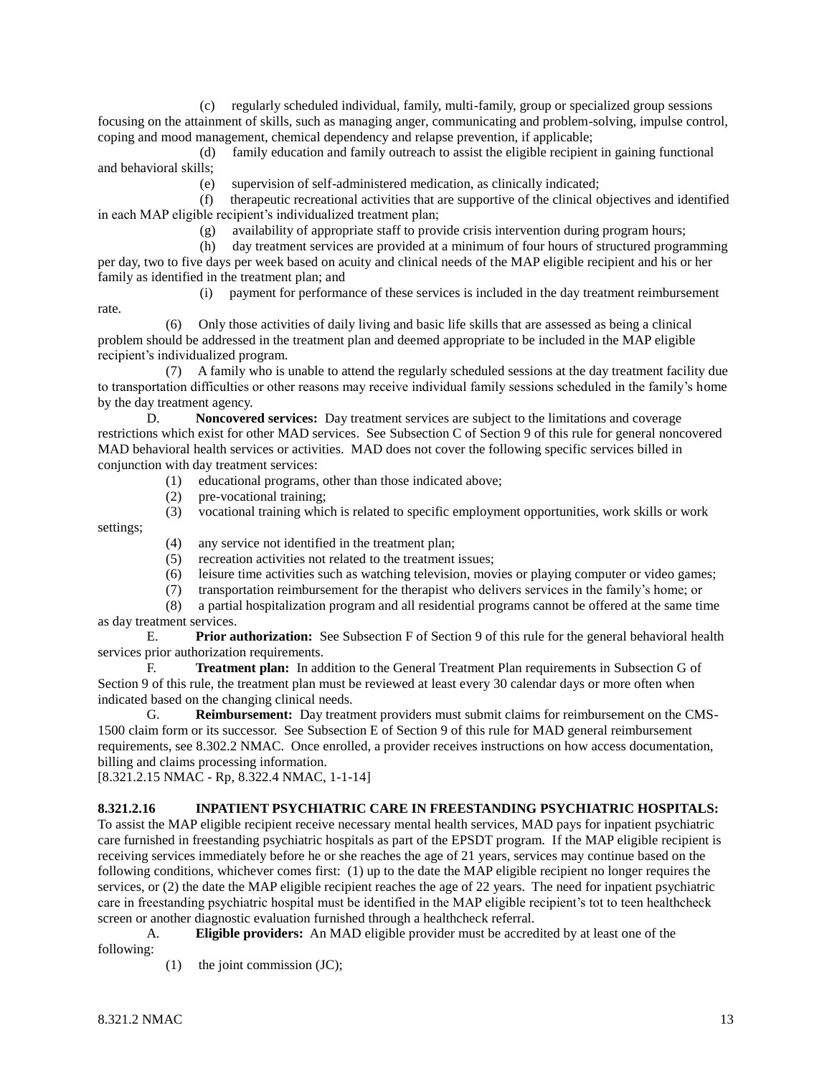(c) regularly scheduled individual, family, multi-family, group or specialized group sessions focusing on the attainment of skills, such as managing anger, communicating and problem-solving, impulse control, coping and mood management, chemical dependency and relapse prevention, if applicable;

 (d) family education and family outreach to assist the eligible recipient in gaining functional and behavioral skills;

(e) supervision of self-administered medication, as clinically indicated;

 (f) therapeutic recreational activities that are supportive of the clinical objectives and identified in each MAP eligible recipient's individualized treatment plan;

(g) availability of appropriate staff to provide crisis intervention during program hours;

 (h) day treatment services are provided at a minimum of four hours of structured programming per day, two to five days per week based on acuity and clinical needs of the MAP eligible recipient and his or her family as identified in the treatment plan; and

(i) payment for performance of these services is included in the day treatment reimbursement

rate.

 (6) Only those activities of daily living and basic life skills that are assessed as being a clinical problem should be addressed in the treatment plan and deemed appropriate to be included in the MAP eligible recipient's individualized program.

 (7) A family who is unable to attend the regularly scheduled sessions at the day treatment facility due to transportation difficulties or other reasons may receive individual family sessions scheduled in the family's home by the day treatment agency.

D. **Noncovered services:** Day treatment services are subject to the limitations and coverage restrictions which exist for other MAD services. See Subsection C of Section 9 of this rule for general noncovered MAD behavioral health services or activities. MAD does not cover the following specific services billed in conjunction with day treatment services:

- (1) educational programs, other than those indicated above;
- (2) pre-vocational training;
- (3) vocational training which is related to specific employment opportunities, work skills or work settings;
	- (4) any service not identified in the treatment plan;
	- (5) recreation activities not related to the treatment issues;
	- (6) leisure time activities such as watching television, movies or playing computer or video games;
	- (7) transportation reimbursement for the therapist who delivers services in the family's home; or

 (8) a partial hospitalization program and all residential programs cannot be offered at the same time as day treatment services.

E. **Prior authorization:** See Subsection F of Section 9 of this rule for the general behavioral health services prior authorization requirements.

F. **Treatment plan:** In addition to the General Treatment Plan requirements in Subsection G of Section 9 of this rule, the treatment plan must be reviewed at least every 30 calendar days or more often when indicated based on the changing clinical needs.

G. **Reimbursement:** Day treatment providers must submit claims for reimbursement on the CMS-1500 claim form or its successor. See Subsection E of Section 9 of this rule for MAD general reimbursement requirements, see 8.302.2 NMAC. Once enrolled, a provider receives instructions on how access documentation, billing and claims processing information.

[8.321.2.15 NMAC - Rp, 8.322.4 NMAC, 1-1-14]

# **8.321.2.16 INPATIENT PSYCHIATRIC CARE IN FREESTANDING PSYCHIATRIC HOSPITALS:**

To assist the MAP eligible recipient receive necessary mental health services, MAD pays for inpatient psychiatric care furnished in freestanding psychiatric hospitals as part of the EPSDT program. If the MAP eligible recipient is receiving services immediately before he or she reaches the age of 21 years, services may continue based on the following conditions, whichever comes first: (1) up to the date the MAP eligible recipient no longer requires the services, or (2) the date the MAP eligible recipient reaches the age of 22 years. The need for inpatient psychiatric care in freestanding psychiatric hospital must be identified in the MAP eligible recipient's tot to teen healthcheck screen or another diagnostic evaluation furnished through a healthcheck referral.

A. **Eligible providers:** An MAD eligible provider must be accredited by at least one of the following:

(1) the joint commission (JC);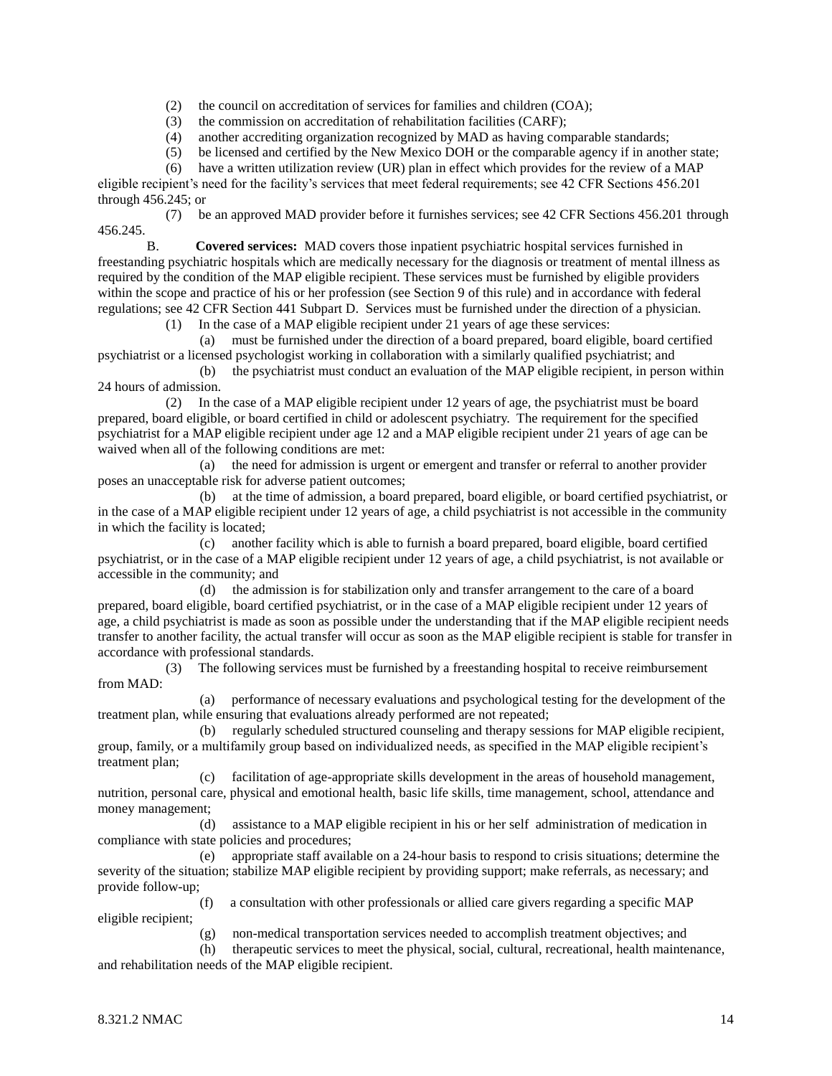(2) the council on accreditation of services for families and children (COA);

(3) the commission on accreditation of rehabilitation facilities (CARF);

(4) another accrediting organization recognized by MAD as having comparable standards;

(5) be licensed and certified by the New Mexico DOH or the comparable agency if in another state;

(6) have a written utilization review (UR) plan in effect which provides for the review of a MAP

eligible recipient's need for the facility's services that meet federal requirements; see 42 CFR Sections 456.201 through 456.245; or

 (7) be an approved MAD provider before it furnishes services; see 42 CFR Sections 456.201 through 456.245.

B. **Covered services:** MAD covers those inpatient psychiatric hospital services furnished in freestanding psychiatric hospitals which are medically necessary for the diagnosis or treatment of mental illness as required by the condition of the MAP eligible recipient. These services must be furnished by eligible providers within the scope and practice of his or her profession (see Section 9 of this rule) and in accordance with federal regulations; see 42 CFR Section 441 Subpart D. Services must be furnished under the direction of a physician.

(1) In the case of a MAP eligible recipient under 21 years of age these services:

 (a) must be furnished under the direction of a board prepared, board eligible, board certified psychiatrist or a licensed psychologist working in collaboration with a similarly qualified psychiatrist; and

 (b) the psychiatrist must conduct an evaluation of the MAP eligible recipient, in person within 24 hours of admission.

 (2) In the case of a MAP eligible recipient under 12 years of age, the psychiatrist must be board prepared, board eligible, or board certified in child or adolescent psychiatry. The requirement for the specified psychiatrist for a MAP eligible recipient under age 12 and a MAP eligible recipient under 21 years of age can be waived when all of the following conditions are met:

 (a) the need for admission is urgent or emergent and transfer or referral to another provider poses an unacceptable risk for adverse patient outcomes;

 (b) at the time of admission, a board prepared, board eligible, or board certified psychiatrist, or in the case of a MAP eligible recipient under 12 years of age, a child psychiatrist is not accessible in the community in which the facility is located;

 (c) another facility which is able to furnish a board prepared, board eligible, board certified psychiatrist, or in the case of a MAP eligible recipient under 12 years of age, a child psychiatrist, is not available or accessible in the community; and

 (d) the admission is for stabilization only and transfer arrangement to the care of a board prepared, board eligible, board certified psychiatrist, or in the case of a MAP eligible recipient under 12 years of age, a child psychiatrist is made as soon as possible under the understanding that if the MAP eligible recipient needs transfer to another facility, the actual transfer will occur as soon as the MAP eligible recipient is stable for transfer in accordance with professional standards.

 (3) The following services must be furnished by a freestanding hospital to receive reimbursement from MAD:

 (a) performance of necessary evaluations and psychological testing for the development of the treatment plan, while ensuring that evaluations already performed are not repeated;

 (b) regularly scheduled structured counseling and therapy sessions for MAP eligible recipient, group, family, or a multifamily group based on individualized needs, as specified in the MAP eligible recipient's treatment plan;

 (c) facilitation of age-appropriate skills development in the areas of household management, nutrition, personal care, physical and emotional health, basic life skills, time management, school, attendance and money management;

 (d) assistance to a MAP eligible recipient in his or her self administration of medication in compliance with state policies and procedures;

 (e) appropriate staff available on a 24-hour basis to respond to crisis situations; determine the severity of the situation; stabilize MAP eligible recipient by providing support; make referrals, as necessary; and provide follow-up;

 (f) a consultation with other professionals or allied care givers regarding a specific MAP eligible recipient;

(g) non-medical transportation services needed to accomplish treatment objectives; and

 (h) therapeutic services to meet the physical, social, cultural, recreational, health maintenance, and rehabilitation needs of the MAP eligible recipient.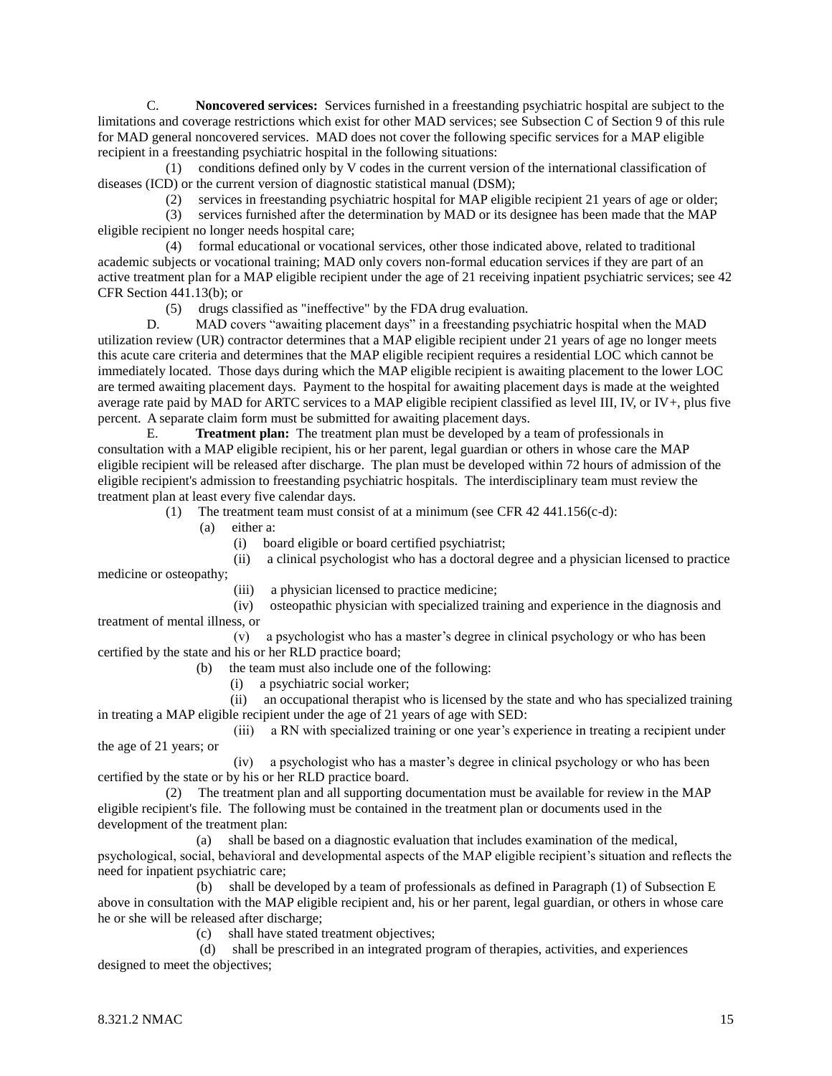C. **Noncovered services:** Services furnished in a freestanding psychiatric hospital are subject to the limitations and coverage restrictions which exist for other MAD services; see Subsection C of Section 9 of this rule for MAD general noncovered services. MAD does not cover the following specific services for a MAP eligible recipient in a freestanding psychiatric hospital in the following situations:

 (1) conditions defined only by V codes in the current version of the international classification of diseases (ICD) or the current version of diagnostic statistical manual (DSM);

(2) services in freestanding psychiatric hospital for MAP eligible recipient 21 years of age or older;

 (3) services furnished after the determination by MAD or its designee has been made that the MAP eligible recipient no longer needs hospital care;

 (4) formal educational or vocational services, other those indicated above, related to traditional academic subjects or vocational training; MAD only covers non-formal education services if they are part of an active treatment plan for a MAP eligible recipient under the age of 21 receiving inpatient psychiatric services; see 42 CFR Section 441.13(b); or

(5) drugs classified as "ineffective" by the FDA drug evaluation.

D. MAD covers "awaiting placement days" in a freestanding psychiatric hospital when the MAD utilization review (UR) contractor determines that a MAP eligible recipient under 21 years of age no longer meets this acute care criteria and determines that the MAP eligible recipient requires a residential LOC which cannot be immediately located. Those days during which the MAP eligible recipient is awaiting placement to the lower LOC are termed awaiting placement days. Payment to the hospital for awaiting placement days is made at the weighted average rate paid by MAD for ARTC services to a MAP eligible recipient classified as level III, IV, or IV+, plus five percent. A separate claim form must be submitted for awaiting placement days.

E. **Treatment plan:** The treatment plan must be developed by a team of professionals in consultation with a MAP eligible recipient, his or her parent, legal guardian or others in whose care the MAP eligible recipient will be released after discharge. The plan must be developed within 72 hours of admission of the eligible recipient's admission to freestanding psychiatric hospitals. The interdisciplinary team must review the treatment plan at least every five calendar days.

(1) The treatment team must consist of at a minimum (see CFR 42 441.156(c-d):

(a) either a:

(i) board eligible or board certified psychiatrist;

(ii) a clinical psychologist who has a doctoral degree and a physician licensed to practice

medicine or osteopathy;

(iii) a physician licensed to practice medicine;

(iv) osteopathic physician with specialized training and experience in the diagnosis and treatment of mental illness, or

 (v) a psychologist who has a master's degree in clinical psychology or who has been certified by the state and his or her RLD practice board;

(b) the team must also include one of the following:

(i) a psychiatric social worker;

(ii) an occupational therapist who is licensed by the state and who has specialized training in treating a MAP eligible recipient under the age of 21 years of age with SED:

 (iii) a RN with specialized training or one year's experience in treating a recipient under the age of 21 years; or

 (iv) a psychologist who has a master's degree in clinical psychology or who has been certified by the state or by his or her RLD practice board.

 (2) The treatment plan and all supporting documentation must be available for review in the MAP eligible recipient's file. The following must be contained in the treatment plan or documents used in the development of the treatment plan:

 (a) shall be based on a diagnostic evaluation that includes examination of the medical, psychological, social, behavioral and developmental aspects of the MAP eligible recipient's situation and reflects the need for inpatient psychiatric care;

 (b) shall be developed by a team of professionals as defined in Paragraph (1) of Subsection E above in consultation with the MAP eligible recipient and, his or her parent, legal guardian, or others in whose care he or she will be released after discharge;

(c) shall have stated treatment objectives;

 (d) shall be prescribed in an integrated program of therapies, activities, and experiences designed to meet the objectives;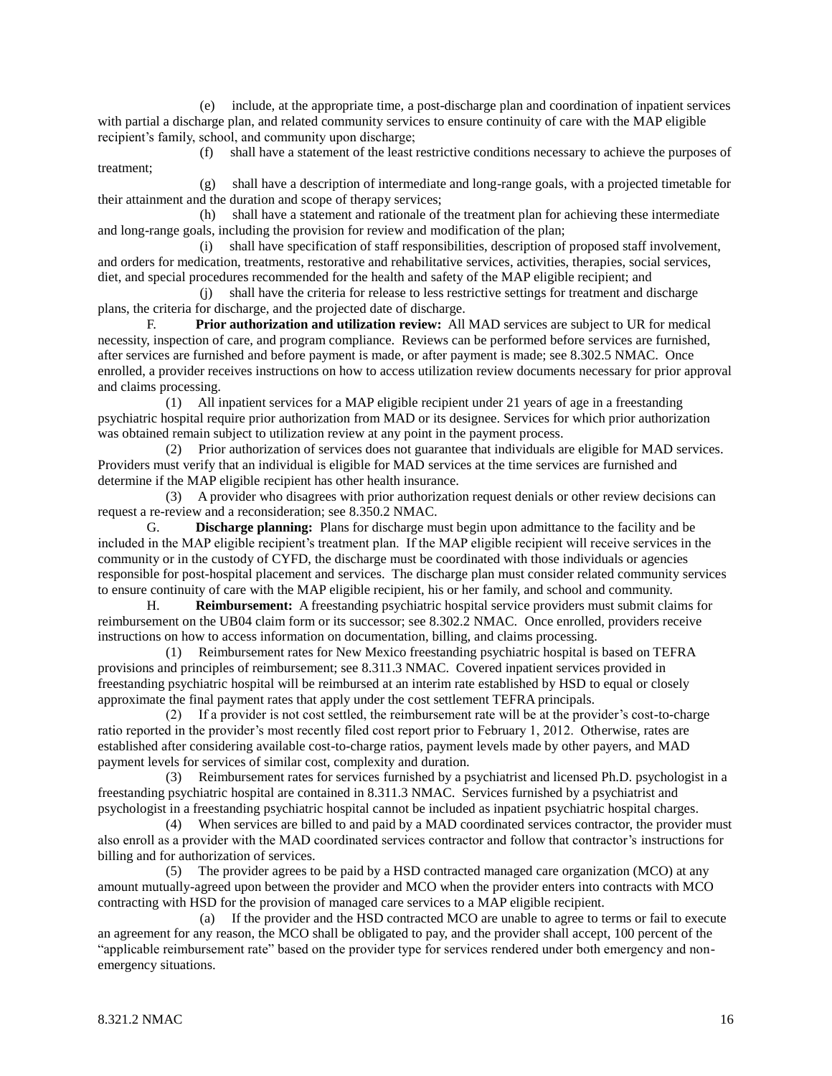(e) include, at the appropriate time, a post-discharge plan and coordination of inpatient services with partial a discharge plan, and related community services to ensure continuity of care with the MAP eligible recipient's family, school, and community upon discharge;

 (f) shall have a statement of the least restrictive conditions necessary to achieve the purposes of treatment;

 (g) shall have a description of intermediate and long-range goals, with a projected timetable for their attainment and the duration and scope of therapy services;

 (h) shall have a statement and rationale of the treatment plan for achieving these intermediate and long-range goals, including the provision for review and modification of the plan;

 (i) shall have specification of staff responsibilities, description of proposed staff involvement, and orders for medication, treatments, restorative and rehabilitative services, activities, therapies, social services, diet, and special procedures recommended for the health and safety of the MAP eligible recipient; and

 (j) shall have the criteria for release to less restrictive settings for treatment and discharge plans, the criteria for discharge, and the projected date of discharge.

F. **Prior authorization and utilization review:** All MAD services are subject to UR for medical necessity, inspection of care, and program compliance. Reviews can be performed before services are furnished, after services are furnished and before payment is made, or after payment is made; see 8.302.5 NMAC. Once enrolled, a provider receives instructions on how to access utilization review documents necessary for prior approval and claims processing.

 (1) All inpatient services for a MAP eligible recipient under 21 years of age in a freestanding psychiatric hospital require prior authorization from MAD or its designee. Services for which prior authorization was obtained remain subject to utilization review at any point in the payment process.

 (2) Prior authorization of services does not guarantee that individuals are eligible for MAD services. Providers must verify that an individual is eligible for MAD services at the time services are furnished and determine if the MAP eligible recipient has other health insurance.

 (3) A provider who disagrees with prior authorization request denials or other review decisions can request a re-review and a reconsideration; see 8.350.2 NMAC.

G. **Discharge planning:** Plans for discharge must begin upon admittance to the facility and be included in the MAP eligible recipient's treatment plan. If the MAP eligible recipient will receive services in the community or in the custody of CYFD, the discharge must be coordinated with those individuals or agencies responsible for post-hospital placement and services. The discharge plan must consider related community services to ensure continuity of care with the MAP eligible recipient, his or her family, and school and community.

H. **Reimbursement:** A freestanding psychiatric hospital service providers must submit claims for reimbursement on the UB04 claim form or its successor; see 8.302.2 NMAC. Once enrolled, providers receive instructions on how to access information on documentation, billing, and claims processing.

 (1) Reimbursement rates for New Mexico freestanding psychiatric hospital is based on TEFRA provisions and principles of reimbursement; see 8.311.3 NMAC. Covered inpatient services provided in freestanding psychiatric hospital will be reimbursed at an interim rate established by HSD to equal or closely approximate the final payment rates that apply under the cost settlement TEFRA principals.

 (2) If a provider is not cost settled, the reimbursement rate will be at the provider's cost-to-charge ratio reported in the provider's most recently filed cost report prior to February 1, 2012. Otherwise, rates are established after considering available cost-to-charge ratios, payment levels made by other payers, and MAD payment levels for services of similar cost, complexity and duration.

 (3) Reimbursement rates for services furnished by a psychiatrist and licensed Ph.D. psychologist in a freestanding psychiatric hospital are contained in 8.311.3 NMAC. Services furnished by a psychiatrist and psychologist in a freestanding psychiatric hospital cannot be included as inpatient psychiatric hospital charges.

 (4) When services are billed to and paid by a MAD coordinated services contractor, the provider must also enroll as a provider with the MAD coordinated services contractor and follow that contractor's instructions for billing and for authorization of services.

 (5) The provider agrees to be paid by a HSD contracted managed care organization (MCO) at any amount mutually-agreed upon between the provider and MCO when the provider enters into contracts with MCO contracting with HSD for the provision of managed care services to a MAP eligible recipient.

 (a) If the provider and the HSD contracted MCO are unable to agree to terms or fail to execute an agreement for any reason, the MCO shall be obligated to pay, and the provider shall accept, 100 percent of the "applicable reimbursement rate" based on the provider type for services rendered under both emergency and nonemergency situations.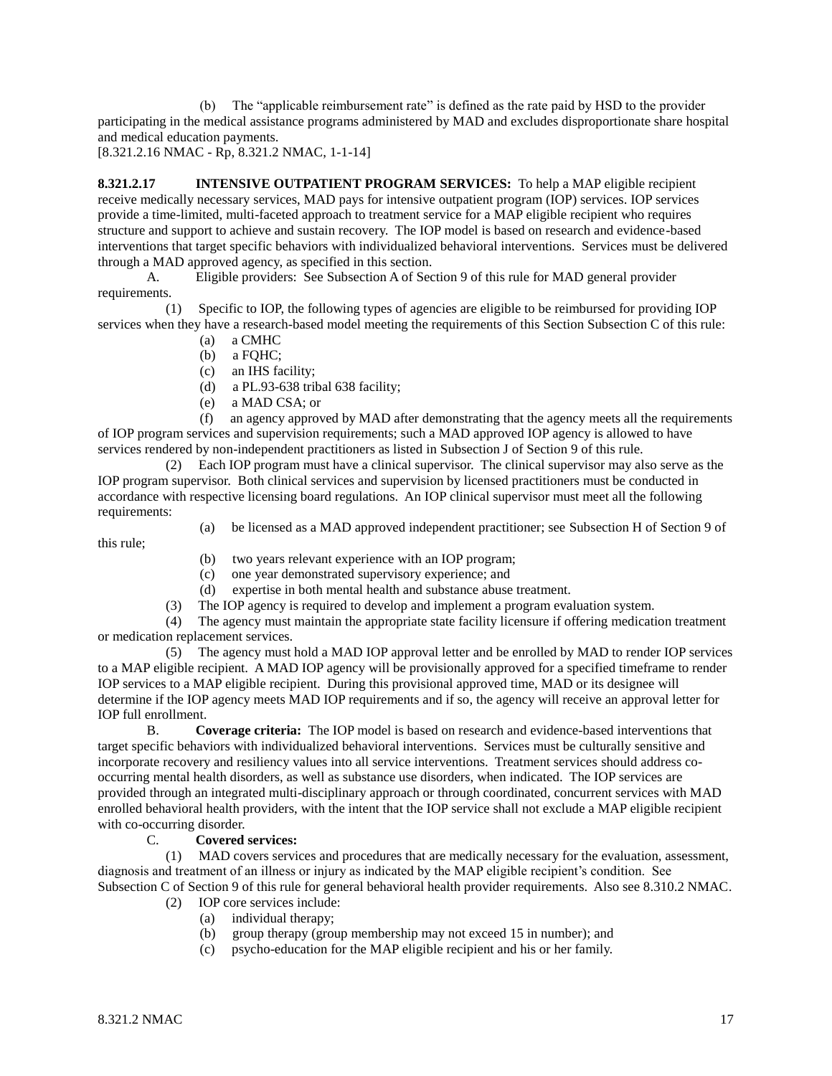(b) The "applicable reimbursement rate" is defined as the rate paid by HSD to the provider participating in the medical assistance programs administered by MAD and excludes disproportionate share hospital and medical education payments.

[8.321.2.16 NMAC - Rp, 8.321.2 NMAC, 1-1-14]

**8.321.2.17 INTENSIVE OUTPATIENT PROGRAM SERVICES:** To help a MAP eligible recipient receive medically necessary services, MAD pays for intensive outpatient program (IOP) services. IOP services provide a time-limited, multi-faceted approach to treatment service for a MAP eligible recipient who requires structure and support to achieve and sustain recovery. The IOP model is based on research and evidence-based interventions that target specific behaviors with individualized behavioral interventions. Services must be delivered through a MAD approved agency, as specified in this section.

A. Eligible providers: See Subsection A of Section 9 of this rule for MAD general provider requirements.

 (1) Specific to IOP, the following types of agencies are eligible to be reimbursed for providing IOP services when they have a research-based model meeting the requirements of this Section Subsection C of this rule:

- (a) a CMHC
- $(b)$  a FOHC:
- (c) an IHS facility;
- (d) a PL.93-638 tribal 638 facility;
- (e) a MAD CSA; or

 (f) an agency approved by MAD after demonstrating that the agency meets all the requirements of IOP program services and supervision requirements; such a MAD approved IOP agency is allowed to have services rendered by non-independent practitioners as listed in Subsection J of Section 9 of this rule.

 (2) Each IOP program must have a clinical supervisor. The clinical supervisor may also serve as the IOP program supervisor. Both clinical services and supervision by licensed practitioners must be conducted in accordance with respective licensing board regulations. An IOP clinical supervisor must meet all the following requirements:

- this rule;
- (a) be licensed as a MAD approved independent practitioner; see Subsection H of Section 9 of
- (b) two years relevant experience with an IOP program;
- (c) one year demonstrated supervisory experience; and
- (d) expertise in both mental health and substance abuse treatment.
- The IOP agency is required to develop and implement a program evaluation system.

 (4) The agency must maintain the appropriate state facility licensure if offering medication treatment or medication replacement services.

 (5) The agency must hold a MAD IOP approval letter and be enrolled by MAD to render IOP services to a MAP eligible recipient. A MAD IOP agency will be provisionally approved for a specified timeframe to render IOP services to a MAP eligible recipient. During this provisional approved time, MAD or its designee will determine if the IOP agency meets MAD IOP requirements and if so, the agency will receive an approval letter for IOP full enrollment.

B. **Coverage criteria:** The IOP model is based on research and evidence-based interventions that target specific behaviors with individualized behavioral interventions. Services must be culturally sensitive and incorporate recovery and resiliency values into all service interventions. Treatment services should address cooccurring mental health disorders, as well as substance use disorders, when indicated. The IOP services are provided through an integrated multi-disciplinary approach or through coordinated, concurrent services with MAD enrolled behavioral health providers, with the intent that the IOP service shall not exclude a MAP eligible recipient with co-occurring disorder.

# C. **Covered services:**

 (1)MAD covers services and procedures that are medically necessary for the evaluation, assessment, diagnosis and treatment of an illness or injury as indicated by the MAP eligible recipient's condition. See Subsection C of Section 9 of this rule for general behavioral health provider requirements. Also see 8.310.2 NMAC*.*

- (2) IOP core services include:
	- (a) individual therapy;
	- (b) group therapy (group membership may not exceed 15 in number); and
	- (c) psycho-education for the MAP eligible recipient and his or her family.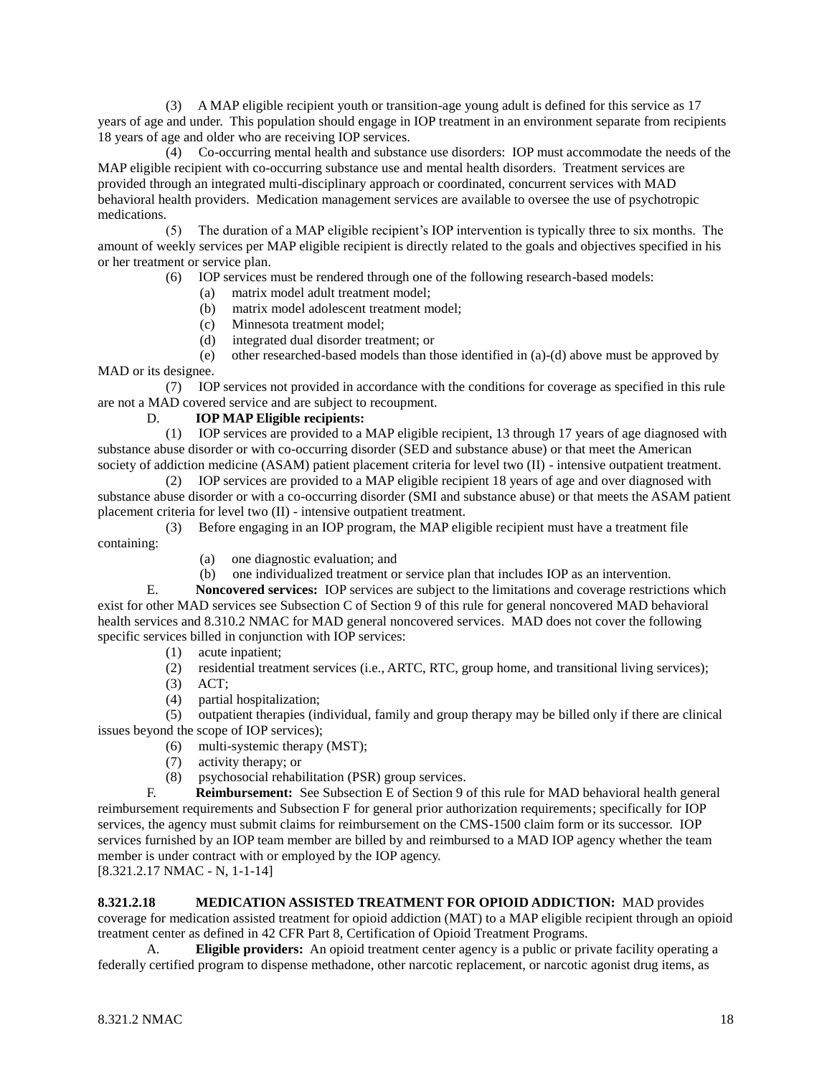(3) A MAP eligible recipient youth or transition-age young adult is defined for this service as 17 years of age and under. This population should engage in IOP treatment in an environment separate from recipients 18 years of age and older who are receiving IOP services.

 (4) Co-occurring mental health and substance use disorders: IOP must accommodate the needs of the MAP eligible recipient with co-occurring substance use and mental health disorders. Treatment services are provided through an integrated multi-disciplinary approach or coordinated, concurrent services with MAD behavioral health providers. Medication management services are available to oversee the use of psychotropic medications.

 (5) The duration of a MAP eligible recipient's IOP intervention is typically three to six months. The amount of weekly services per MAP eligible recipient is directly related to the goals and objectives specified in his or her treatment or service plan.

(6) IOP services must be rendered through one of the following research-based models:

- (a) matrix model adult treatment model;
- (b) matrix model adolescent treatment model;
- (c) Minnesota treatment model;
- (d) integrated dual disorder treatment; or

 (e) other researched-based models than those identified in (a)-(d) above must be approved by MAD or its designee.

 (7) IOP services not provided in accordance with the conditions for coverage as specified in this rule are not a MAD covered service and are subject to recoupment.

# D. **IOP MAP Eligible recipients:**

 (1) IOP services are provided to a MAP eligible recipient, 13 through 17 years of age diagnosed with substance abuse disorder or with co-occurring disorder (SED and substance abuse) or that meet the American society of addiction medicine (ASAM) patient placement criteria for level two (II) - intensive outpatient treatment.

 (2) IOP services are provided to a MAP eligible recipient 18 years of age and over diagnosed with substance abuse disorder or with a co-occurring disorder (SMI and substance abuse) or that meets the ASAM patient placement criteria for level two (II) - intensive outpatient treatment.

 (3) Before engaging in an IOP program, the MAP eligible recipient must have a treatment file containing:

- (a) one diagnostic evaluation; and
- (b) one individualized treatment or service plan that includes IOP as an intervention.

E. **Noncovered services:** IOP services are subject to the limitations and coverage restrictions which exist for other MAD services see Subsection C of Section 9 of this rule for general noncovered MAD behavioral health services and 8.310.2 NMAC for MAD general noncovered services. MAD does not cover the following specific services billed in conjunction with IOP services:

- (1) acute inpatient;
- (2) residential treatment services (i.e., ARTC, RTC, group home, and transitional living services);
- (3) ACT;
- (4) partial hospitalization;

 (5) outpatient therapies (individual, family and group therapy may be billed only if there are clinical issues beyond the scope of IOP services);

- (6) multi-systemic therapy (MST);
- (7) activity therapy; or
- (8) psychosocial rehabilitation (PSR) group services.

F. **Reimbursement:** See Subsection E of Section 9 of this rule for MAD behavioral health general reimbursement requirements and Subsection F for general prior authorization requirements; specifically for IOP services, the agency must submit claims for reimbursement on the CMS-1500 claim form or its successor. IOP services furnished by an IOP team member are billed by and reimbursed to a MAD IOP agency whether the team member is under contract with or employed by the IOP agency.

[8.321.2.17 NMAC - N, 1-1-14]

**8.321.2.18 MEDICATION ASSISTED TREATMENT FOR OPIOID ADDICTION:** MAD provides coverage for medication assisted treatment for opioid addiction (MAT) to a MAP eligible recipient through an opioid treatment center as defined in 42 CFR Part 8, Certification of Opioid Treatment Programs.

A. **Eligible providers:** An opioid treatment center agency is a public or private facility operating a federally certified program to dispense methadone, other narcotic replacement, or narcotic agonist drug items, as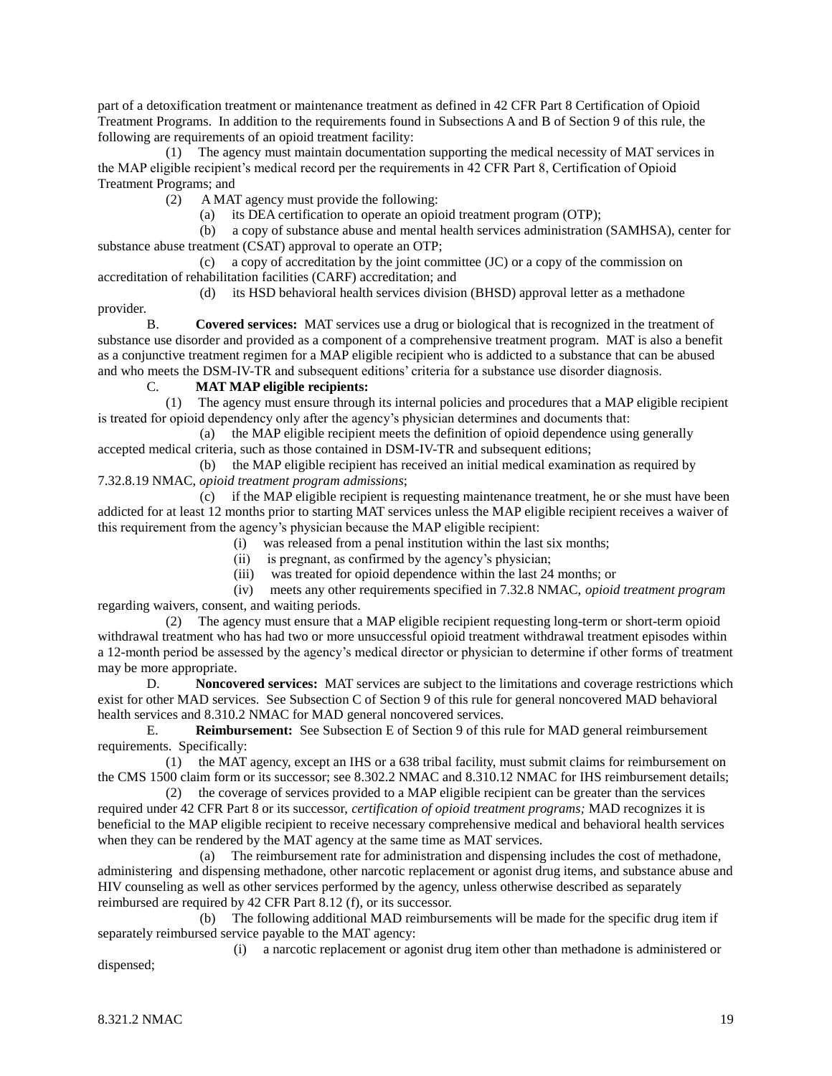part of a detoxification treatment or maintenance treatment as defined in 42 CFR Part 8 Certification of Opioid Treatment Programs. In addition to the requirements found in Subsections A and B of Section 9 of this rule, the following are requirements of an opioid treatment facility:

 (1) The agency must maintain documentation supporting the medical necessity of MAT services in the MAP eligible recipient's medical record per the requirements in 42 CFR Part 8, Certification of Opioid Treatment Programs; and

(2) A MAT agency must provide the following:

(a) its DEA certification to operate an opioid treatment program (OTP);

 (b) a copy of substance abuse and mental health services administration (SAMHSA), center for substance abuse treatment (CSAT) approval to operate an OTP;

 (c) a copy of accreditation by the joint committee (JC) or a copy of the commission on accreditation of rehabilitation facilities (CARF) accreditation; and

 (d) its HSD behavioral health services division (BHSD) approval letter as a methadone provider.

B. **Covered services:** MAT services use a drug or biological that is recognized in the treatment of substance use disorder and provided as a component of a comprehensive treatment program. MAT is also a benefit as a conjunctive treatment regimen for a MAP eligible recipient who is addicted to a substance that can be abused and who meets the DSM-IV-TR and subsequent editions' criteria for a substance use disorder diagnosis.

C. **MAT MAP eligible recipients:**

The agency must ensure through its internal policies and procedures that a MAP eligible recipient is treated for opioid dependency only after the agency's physician determines and documents that:

 (a) the MAP eligible recipient meets the definition of opioid dependence using generally accepted medical criteria, such as those contained in DSM-IV-TR and subsequent editions;

 (b) the MAP eligible recipient has received an initial medical examination as required by 7.32.8.19 NMAC, *opioid treatment program admissions*;

 (c) if the MAP eligible recipient is requesting maintenance treatment, he or she must have been addicted for at least 12 months prior to starting MAT services unless the MAP eligible recipient receives a waiver of this requirement from the agency's physician because the MAP eligible recipient:

(i) was released from a penal institution within the last six months;

(ii) is pregnant, as confirmed by the agency's physician;

(iii) was treated for opioid dependence within the last 24 months; or

 (iv) meets any other requirements specified in 7.32.8 NMAC, *opioid treatment program* regarding waivers, consent, and waiting periods.

 (2) The agency must ensure that a MAP eligible recipient requesting long-term or short-term opioid withdrawal treatment who has had two or more unsuccessful opioid treatment withdrawal treatment episodes within a 12-month period be assessed by the agency's medical director or physician to determine if other forms of treatment may be more appropriate.

D. **Noncovered services:** MAT services are subject to the limitations and coverage restrictions which exist for other MAD services. See Subsection C of Section 9 of this rule for general noncovered MAD behavioral health services and 8.310.2 NMAC for MAD general noncovered services.

E. **Reimbursement:** See Subsection E of Section 9 of this rule for MAD general reimbursement requirements. Specifically:

 (1) the MAT agency, except an IHS or a 638 tribal facility, must submit claims for reimbursement on the CMS 1500 claim form or its successor; see 8.302.2 NMAC and 8.310.12 NMAC for IHS reimbursement details;

 (2) the coverage of services provided to a MAP eligible recipient can be greater than the services required under 42 CFR Part 8 or its successor, *certification of opioid treatment programs;* MAD recognizes it is beneficial to the MAP eligible recipient to receive necessary comprehensive medical and behavioral health services when they can be rendered by the MAT agency at the same time as MAT services.

 (a) The reimbursement rate for administration and dispensing includes the cost of methadone, administering and dispensing methadone, other narcotic replacement or agonist drug items, and substance abuse and HIV counseling as well as other services performed by the agency, unless otherwise described as separately reimbursed are required by 42 CFR Part 8.12 (f), or its successor.

 (b) The following additional MAD reimbursements will be made for the specific drug item if separately reimbursed service payable to the MAT agency:

 (i) a narcotic replacement or agonist drug item other than methadone is administered or dispensed;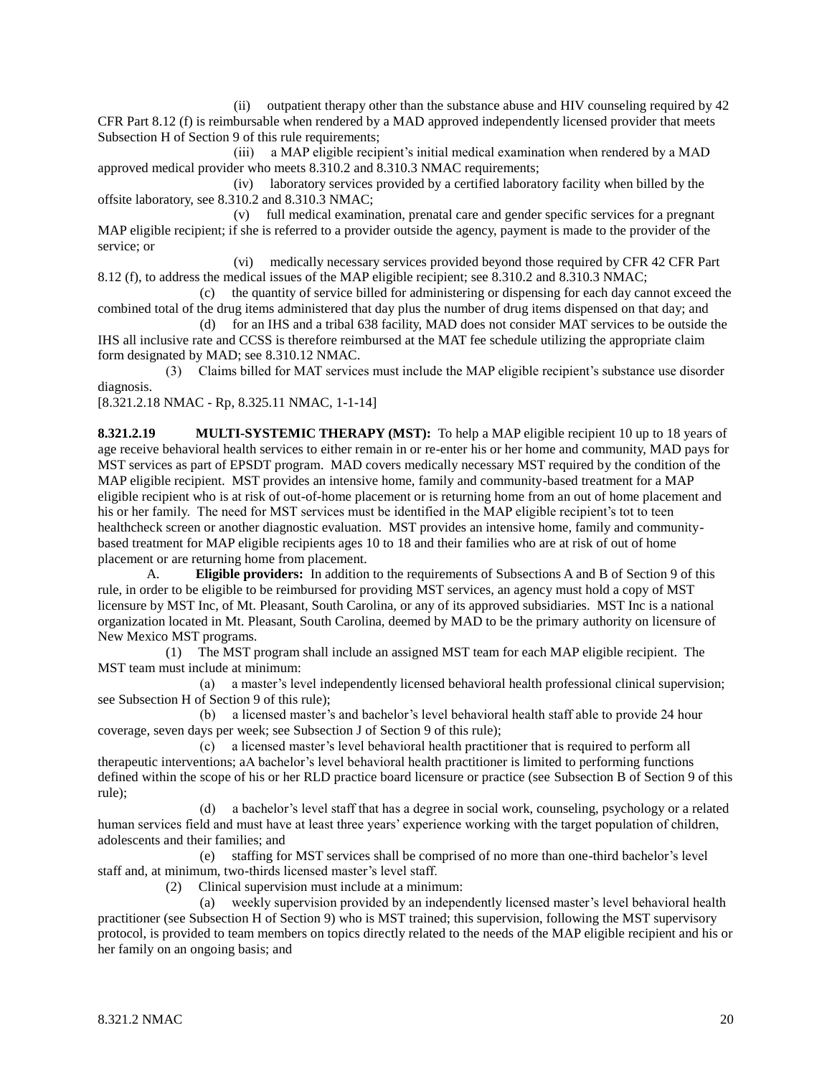(ii) outpatient therapy other than the substance abuse and HIV counseling required by 42 CFR Part 8.12 (f) is reimbursable when rendered by a MAD approved independently licensed provider that meets Subsection H of Section 9 of this rule requirements;

 (iii) a MAP eligible recipient's initial medical examination when rendered by a MAD approved medical provider who meets 8.310.2 and 8.310.3 NMAC requirements;

 (iv) laboratory services provided by a certified laboratory facility when billed by the offsite laboratory, see 8.310.2 and 8.310.3 NMAC;

 (v) full medical examination, prenatal care and gender specific services for a pregnant MAP eligible recipient; if she is referred to a provider outside the agency, payment is made to the provider of the service; or

 (vi) medically necessary services provided beyond those required by CFR 42 CFR Part 8.12 (f), to address the medical issues of the MAP eligible recipient; see 8.310.2 and 8.310.3 NMAC;

 (c) the quantity of service billed for administering or dispensing for each day cannot exceed the combined total of the drug items administered that day plus the number of drug items dispensed on that day; and

 (d) for an IHS and a tribal 638 facility, MAD does not consider MAT services to be outside the IHS all inclusive rate and CCSS is therefore reimbursed at the MAT fee schedule utilizing the appropriate claim form designated by MAD; see 8.310.12 NMAC.

 (3) Claims billed for MAT services must include the MAP eligible recipient's substance use disorder diagnosis.

[8.321.2.18 NMAC - Rp, 8.325.11 NMAC, 1-1-14]

**8.321.2.19 MULTI-SYSTEMIC THERAPY (MST):** To help a MAP eligible recipient 10 up to 18 years of age receive behavioral health services to either remain in or re-enter his or her home and community, MAD pays for MST services as part of EPSDT program. MAD covers medically necessary MST required by the condition of the MAP eligible recipient. MST provides an intensive home, family and community-based treatment for a MAP eligible recipient who is at risk of out-of-home placement or is returning home from an out of home placement and his or her family. The need for MST services must be identified in the MAP eligible recipient's tot to teen healthcheck screen or another diagnostic evaluation. MST provides an intensive home, family and communitybased treatment for MAP eligible recipients ages 10 to 18 and their families who are at risk of out of home placement or are returning home from placement.

A. **Eligible providers:** In addition to the requirements of Subsections A and B of Section 9 of this rule, in order to be eligible to be reimbursed for providing MST services, an agency must hold a copy of MST licensure by MST Inc, of Mt. Pleasant, South Carolina, or any of its approved subsidiaries. MST Inc is a national organization located in Mt. Pleasant, South Carolina, deemed by MAD to be the primary authority on licensure of New Mexico MST programs.

 (1) The MST program shall include an assigned MST team for each MAP eligible recipient. The MST team must include at minimum:

 (a) a master's level independently licensed behavioral health professional clinical supervision; see Subsection H of Section 9 of this rule);

 (b) a licensed master's and bachelor's level behavioral health staff able to provide 24 hour coverage, seven days per week; see Subsection J of Section 9 of this rule);

 (c) a licensed master's level behavioral health practitioner that is required to perform all therapeutic interventions; aA bachelor's level behavioral health practitioner is limited to performing functions defined within the scope of his or her RLD practice board licensure or practice (see Subsection B of Section 9 of this rule);

 (d) a bachelor's level staff that has a degree in social work, counseling, psychology or a related human services field and must have at least three years' experience working with the target population of children, adolescents and their families; and

 (e) staffing for MST services shall be comprised of no more than one-third bachelor's level staff and, at minimum, two-thirds licensed master's level staff.

(2) Clinical supervision must include at a minimum:

 (a) weekly supervision provided by an independently licensed master's level behavioral health practitioner (see Subsection H of Section 9) who is MST trained; this supervision, following the MST supervisory protocol, is provided to team members on topics directly related to the needs of the MAP eligible recipient and his or her family on an ongoing basis; and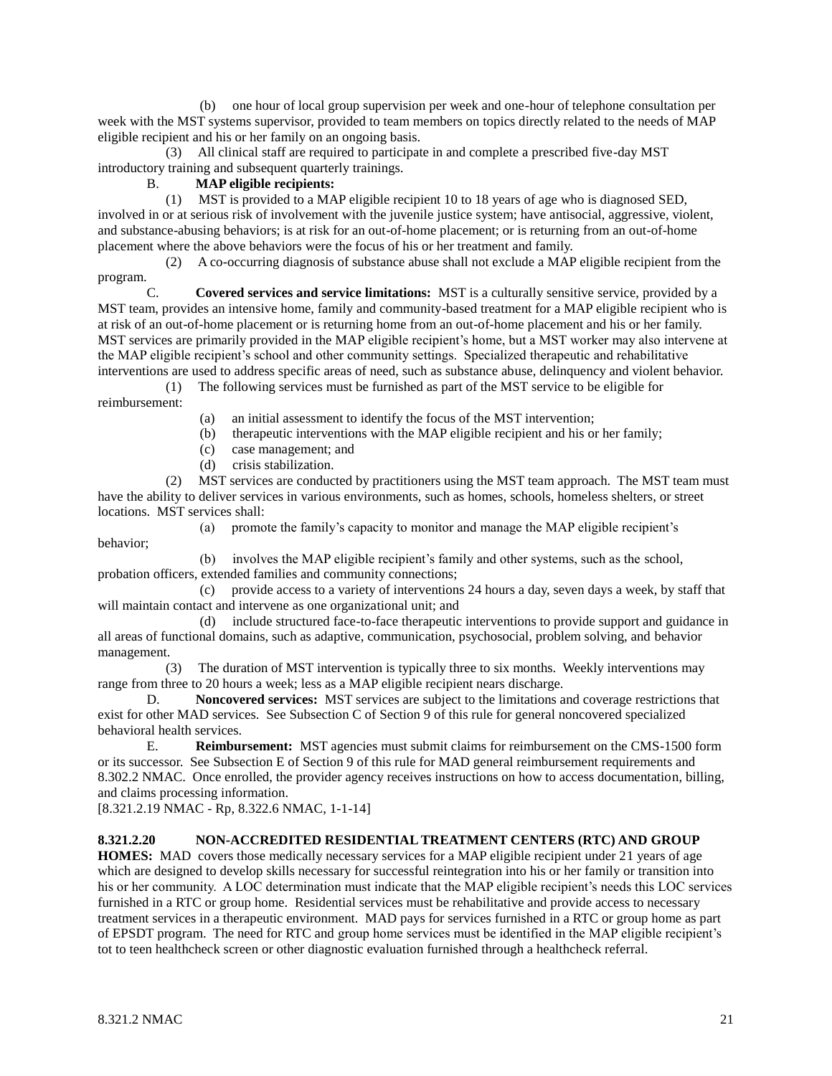(b) one hour of local group supervision per week and one-hour of telephone consultation per week with the MST systems supervisor, provided to team members on topics directly related to the needs of MAP eligible recipient and his or her family on an ongoing basis.

 (3) All clinical staff are required to participate in and complete a prescribed five-day MST introductory training and subsequent quarterly trainings.

# B. **MAP eligible recipients:**

 (1) MST is provided to a MAP eligible recipient 10 to 18 years of age who is diagnosed SED, involved in or at serious risk of involvement with the juvenile justice system; have antisocial, aggressive, violent, and substance-abusing behaviors; is at risk for an out-of-home placement; or is returning from an out-of-home placement where the above behaviors were the focus of his or her treatment and family.

 (2) A co-occurring diagnosis of substance abuse shall not exclude a MAP eligible recipient from the program.

C. **Covered services and service limitations:** MST is a culturally sensitive service, provided by a MST team, provides an intensive home, family and community-based treatment for a MAP eligible recipient who is at risk of an out-of-home placement or is returning home from an out-of-home placement and his or her family. MST services are primarily provided in the MAP eligible recipient's home, but a MST worker may also intervene at the MAP eligible recipient's school and other community settings. Specialized therapeutic and rehabilitative interventions are used to address specific areas of need, such as substance abuse, delinquency and violent behavior.

 (1) The following services must be furnished as part of the MST service to be eligible for reimbursement:

(a) an initial assessment to identify the focus of the MST intervention;

(b) therapeutic interventions with the MAP eligible recipient and his or her family;

- (c) case management; and
- (d) crisis stabilization.

 (2) MST services are conducted by practitioners using the MST team approach. The MST team must have the ability to deliver services in various environments, such as homes, schools, homeless shelters, or street locations. MST services shall:

(a) promote the family's capacity to monitor and manage the MAP eligible recipient's

 (b) involves the MAP eligible recipient's family and other systems, such as the school, probation officers, extended families and community connections;

 (c) provide access to a variety of interventions 24 hours a day, seven days a week, by staff that will maintain contact and intervene as one organizational unit; and

 (d) include structured face-to-face therapeutic interventions to provide support and guidance in all areas of functional domains, such as adaptive, communication, psychosocial, problem solving, and behavior management.

 (3) The duration of MST intervention is typically three to six months. Weekly interventions may range from three to 20 hours a week; less as a MAP eligible recipient nears discharge.

D. **Noncovered services:** MST services are subject to the limitations and coverage restrictions that exist for other MAD services. See Subsection C of Section 9 of this rule for general noncovered specialized behavioral health services.

E. **Reimbursement:** MST agencies must submit claims for reimbursement on the CMS-1500 form or its successor. See Subsection E of Section 9 of this rule for MAD general reimbursement requirements and 8.302.2 NMAC. Once enrolled, the provider agency receives instructions on how to access documentation, billing, and claims processing information.

[8.321.2.19 NMAC - Rp, 8.322.6 NMAC, 1-1-14]

# **8.321.2.20 NON-ACCREDITED RESIDENTIAL TREATMENT CENTERS (RTC) AND GROUP**

**HOMES:** MAD covers those medically necessary services for a MAP eligible recipient under 21 years of age which are designed to develop skills necessary for successful reintegration into his or her family or transition into his or her community. A LOC determination must indicate that the MAP eligible recipient's needs this LOC services furnished in a RTC or group home. Residential services must be rehabilitative and provide access to necessary treatment services in a therapeutic environment. MAD pays for services furnished in a RTC or group home as part of EPSDT program. The need for RTC and group home services must be identified in the MAP eligible recipient's tot to teen healthcheck screen or other diagnostic evaluation furnished through a healthcheck referral.

behavior;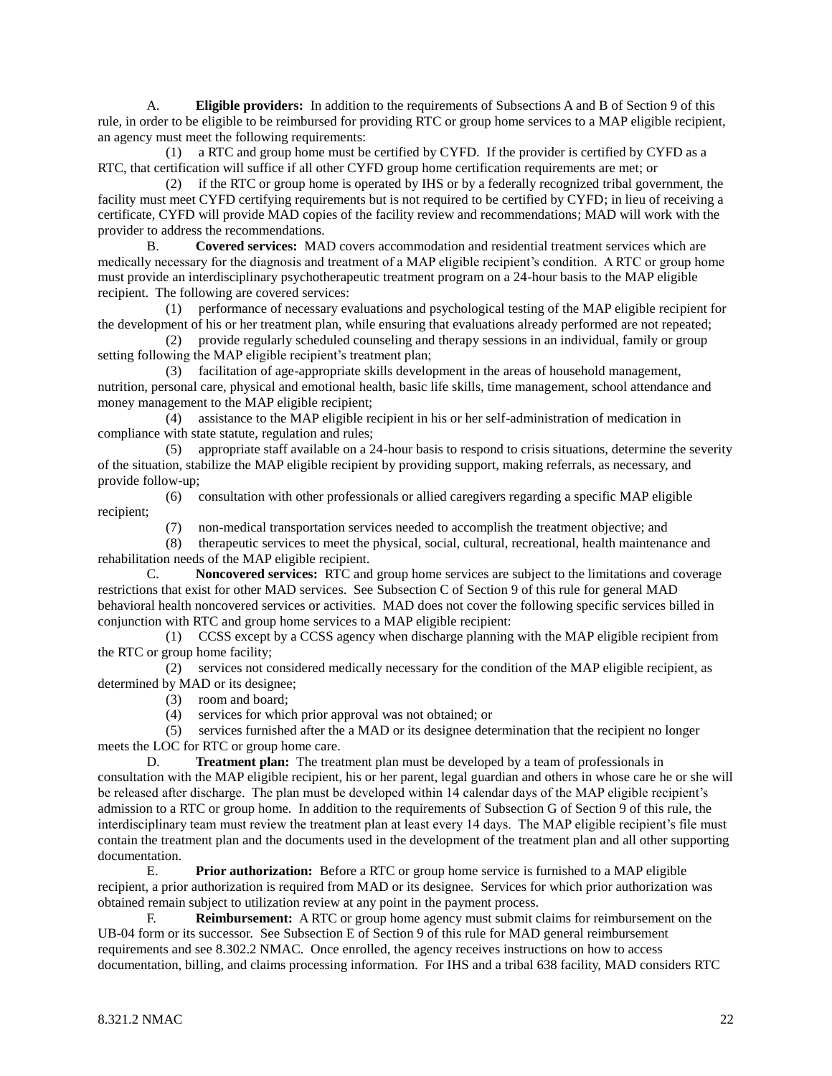A. **Eligible providers:** In addition to the requirements of Subsections A and B of Section 9 of this rule, in order to be eligible to be reimbursed for providing RTC or group home services to a MAP eligible recipient, an agency must meet the following requirements:

 (1) a RTC and group home must be certified by CYFD. If the provider is certified by CYFD as a RTC, that certification will suffice if all other CYFD group home certification requirements are met; or

 (2) if the RTC or group home is operated by IHS or by a federally recognized tribal government, the facility must meet CYFD certifying requirements but is not required to be certified by CYFD; in lieu of receiving a certificate, CYFD will provide MAD copies of the facility review and recommendations; MAD will work with the provider to address the recommendations.

B. **Covered services:** MAD covers accommodation and residential treatment services which are medically necessary for the diagnosis and treatment of a MAP eligible recipient's condition. A RTC or group home must provide an interdisciplinary psychotherapeutic treatment program on a 24-hour basis to the MAP eligible recipient. The following are covered services:

 (1) performance of necessary evaluations and psychological testing of the MAP eligible recipient for the development of his or her treatment plan, while ensuring that evaluations already performed are not repeated;

 (2) provide regularly scheduled counseling and therapy sessions in an individual, family or group setting following the MAP eligible recipient's treatment plan;

 (3) facilitation of age-appropriate skills development in the areas of household management, nutrition, personal care, physical and emotional health, basic life skills, time management, school attendance and money management to the MAP eligible recipient;

 (4) assistance to the MAP eligible recipient in his or her self-administration of medication in compliance with state statute, regulation and rules;

 (5) appropriate staff available on a 24-hour basis to respond to crisis situations, determine the severity of the situation, stabilize the MAP eligible recipient by providing support, making referrals, as necessary, and provide follow-up;

recipient;

(6) consultation with other professionals or allied caregivers regarding a specific MAP eligible

(7) non-medical transportation services needed to accomplish the treatment objective; and

 (8) therapeutic services to meet the physical, social, cultural, recreational, health maintenance and rehabilitation needs of the MAP eligible recipient.

C. **Noncovered services:** RTC and group home services are subject to the limitations and coverage restrictions that exist for other MAD services. See Subsection C of Section 9 of this rule for general MAD behavioral health noncovered services or activities. MAD does not cover the following specific services billed in conjunction with RTC and group home services to a MAP eligible recipient:

 (1) CCSS except by a CCSS agency when discharge planning with the MAP eligible recipient from the RTC or group home facility;

 (2) services not considered medically necessary for the condition of the MAP eligible recipient, as determined by MAD or its designee;

(3) room and board;

(4) services for which prior approval was not obtained; or

 (5) services furnished after the a MAD or its designee determination that the recipient no longer meets the LOC for RTC or group home care.

D. **Treatment plan:** The treatment plan must be developed by a team of professionals in consultation with the MAP eligible recipient, his or her parent, legal guardian and others in whose care he or she will be released after discharge. The plan must be developed within 14 calendar days of the MAP eligible recipient's admission to a RTC or group home. In addition to the requirements of Subsection G of Section 9 of this rule, the interdisciplinary team must review the treatment plan at least every 14 days. The MAP eligible recipient's file must contain the treatment plan and the documents used in the development of the treatment plan and all other supporting documentation.

E. **Prior authorization:** Before a RTC or group home service is furnished to a MAP eligible recipient, a prior authorization is required from MAD or its designee. Services for which prior authorization was obtained remain subject to utilization review at any point in the payment process.

F. **Reimbursement:** A RTC or group home agency must submit claims for reimbursement on the UB-04 form or its successor. See Subsection E of Section 9 of this rule for MAD general reimbursement requirements and see 8.302.2 NMAC. Once enrolled, the agency receives instructions on how to access documentation, billing, and claims processing information. For IHS and a tribal 638 facility, MAD considers RTC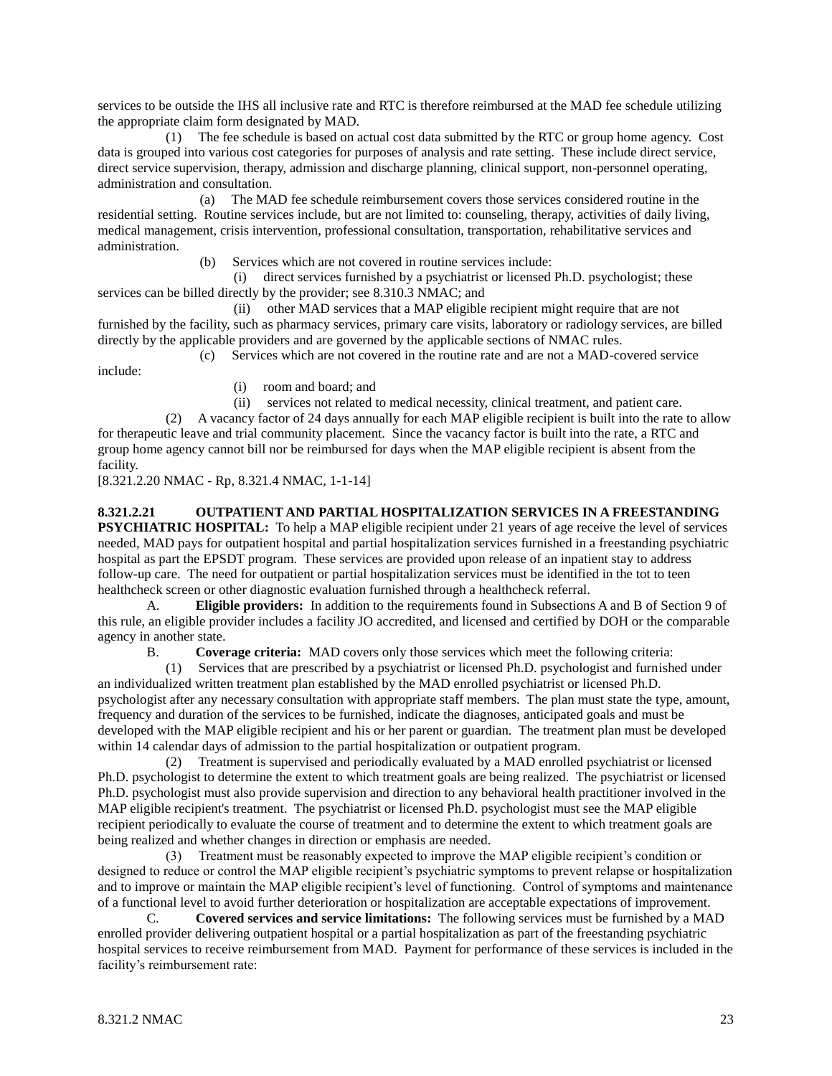services to be outside the IHS all inclusive rate and RTC is therefore reimbursed at the MAD fee schedule utilizing the appropriate claim form designated by MAD.

 (1) The fee schedule is based on actual cost data submitted by the RTC or group home agency. Cost data is grouped into various cost categories for purposes of analysis and rate setting. These include direct service, direct service supervision, therapy, admission and discharge planning, clinical support, non-personnel operating, administration and consultation.

 (a) The MAD fee schedule reimbursement covers those services considered routine in the residential setting. Routine services include, but are not limited to: counseling, therapy, activities of daily living, medical management, crisis intervention, professional consultation, transportation, rehabilitative services and administration.

(b) Services which are not covered in routine services include:

 (i) direct services furnished by a psychiatrist or licensed Ph.D. psychologist; these services can be billed directly by the provider; see 8.310.3 NMAC; and

 (ii) other MAD services that a MAP eligible recipient might require that are not furnished by the facility, such as pharmacy services, primary care visits, laboratory or radiology services, are billed directly by the applicable providers and are governed by the applicable sections of NMAC rules.

(c) Services which are not covered in the routine rate and are not a MAD-covered service

include:

(i) room and board; and

(ii) services not related to medical necessity, clinical treatment, and patient care.

 (2) A vacancy factor of 24 days annually for each MAP eligible recipient is built into the rate to allow for therapeutic leave and trial community placement. Since the vacancy factor is built into the rate, a RTC and group home agency cannot bill nor be reimbursed for days when the MAP eligible recipient is absent from the facility.

[8.321.2.20 NMAC - Rp, 8.321.4 NMAC, 1-1-14]

# **8.321.2.21 OUTPATIENT AND PARTIAL HOSPITALIZATION SERVICES IN A FREESTANDING**

**PSYCHIATRIC HOSPITAL:** To help a MAP eligible recipient under 21 years of age receive the level of services needed, MAD pays for outpatient hospital and partial hospitalization services furnished in a freestanding psychiatric hospital as part the EPSDT program. These services are provided upon release of an inpatient stay to address follow-up care. The need for outpatient or partial hospitalization services must be identified in the tot to teen healthcheck screen or other diagnostic evaluation furnished through a healthcheck referral.

A. **Eligible providers:** In addition to the requirements found in Subsections A and B of Section 9 of this rule, an eligible provider includes a facility JO accredited, and licensed and certified by DOH or the comparable agency in another state.

B. **Coverage criteria:** MAD covers only those services which meet the following criteria:

 (1) Services that are prescribed by a psychiatrist or licensed Ph.D. psychologist and furnished under an individualized written treatment plan established by the MAD enrolled psychiatrist or licensed Ph.D. psychologist after any necessary consultation with appropriate staff members. The plan must state the type, amount, frequency and duration of the services to be furnished, indicate the diagnoses, anticipated goals and must be developed with the MAP eligible recipient and his or her parent or guardian. The treatment plan must be developed within 14 calendar days of admission to the partial hospitalization or outpatient program.

 (2) Treatment is supervised and periodically evaluated by a MAD enrolled psychiatrist or licensed Ph.D. psychologist to determine the extent to which treatment goals are being realized. The psychiatrist or licensed Ph.D. psychologist must also provide supervision and direction to any behavioral health practitioner involved in the MAP eligible recipient's treatment. The psychiatrist or licensed Ph.D. psychologist must see the MAP eligible recipient periodically to evaluate the course of treatment and to determine the extent to which treatment goals are being realized and whether changes in direction or emphasis are needed.

 (3) Treatment must be reasonably expected to improve the MAP eligible recipient's condition or designed to reduce or control the MAP eligible recipient's psychiatric symptoms to prevent relapse or hospitalization and to improve or maintain the MAP eligible recipient's level of functioning. Control of symptoms and maintenance of a functional level to avoid further deterioration or hospitalization are acceptable expectations of improvement.

C. **Covered services and service limitations:** The following services must be furnished by a MAD enrolled provider delivering outpatient hospital or a partial hospitalization as part of the freestanding psychiatric hospital services to receive reimbursement from MAD. Payment for performance of these services is included in the facility's reimbursement rate: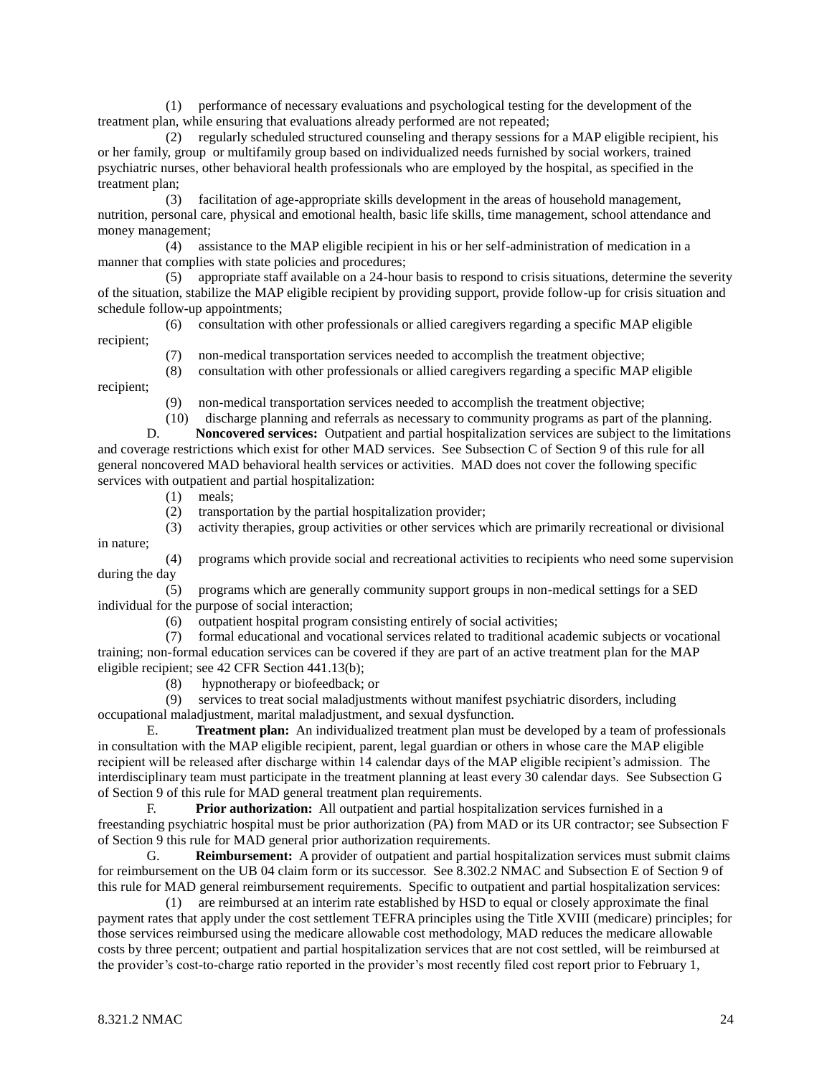(1) performance of necessary evaluations and psychological testing for the development of the treatment plan, while ensuring that evaluations already performed are not repeated;

 (2) regularly scheduled structured counseling and therapy sessions for a MAP eligible recipient, his or her family, group or multifamily group based on individualized needs furnished by social workers, trained psychiatric nurses, other behavioral health professionals who are employed by the hospital, as specified in the treatment plan;

 (3) facilitation of age-appropriate skills development in the areas of household management, nutrition, personal care, physical and emotional health, basic life skills, time management, school attendance and money management;

 (4) assistance to the MAP eligible recipient in his or her self-administration of medication in a manner that complies with state policies and procedures;

 (5) appropriate staff available on a 24-hour basis to respond to crisis situations, determine the severity of the situation, stabilize the MAP eligible recipient by providing support, provide follow-up for crisis situation and schedule follow-up appointments;

 (6) consultation with other professionals or allied caregivers regarding a specific MAP eligible recipient;

- (7) non-medical transportation services needed to accomplish the treatment objective;
- (8) consultation with other professionals or allied caregivers regarding a specific MAP eligible

recipient;

(9) non-medical transportation services needed to accomplish the treatment objective;

 (10) discharge planning and referrals as necessary to community programs as part of the planning. D. **Noncovered services:** Outpatient and partial hospitalization services are subject to the limitations and coverage restrictions which exist for other MAD services. See Subsection C of Section 9 of this rule for all general noncovered MAD behavioral health services or activities. MAD does not cover the following specific services with outpatient and partial hospitalization:

- (1) meals;
- (2) transportation by the partial hospitalization provider;
- (3) activity therapies, group activities or other services which are primarily recreational or divisional in nature;

 (4) programs which provide social and recreational activities to recipients who need some supervision during the day

 (5) programs which are generally community support groups in non-medical settings for a SED individual for the purpose of social interaction;

(6) outpatient hospital program consisting entirely of social activities;

 (7) formal educational and vocational services related to traditional academic subjects or vocational training; non-formal education services can be covered if they are part of an active treatment plan for the MAP eligible recipient; see 42 CFR Section 441.13(b);

- (8) hypnotherapy or biofeedback; or
- (9) services to treat social maladjustments without manifest psychiatric disorders, including occupational maladjustment, marital maladjustment, and sexual dysfunction.

E. **Treatment plan:** An individualized treatment plan must be developed by a team of professionals in consultation with the MAP eligible recipient, parent, legal guardian or others in whose care the MAP eligible recipient will be released after discharge within 14 calendar days of the MAP eligible recipient's admission. The interdisciplinary team must participate in the treatment planning at least every 30 calendar days. See Subsection G of Section 9 of this rule for MAD general treatment plan requirements.

F. **Prior authorization:** All outpatient and partial hospitalization services furnished in a freestanding psychiatric hospital must be prior authorization (PA) from MAD or its UR contractor; see Subsection F of Section 9 this rule for MAD general prior authorization requirements.

G. **Reimbursement:** A provider of outpatient and partial hospitalization services must submit claims for reimbursement on the UB 04 claim form or its successor. See 8.302.2 NMAC and Subsection E of Section 9 of this rule for MAD general reimbursement requirements. Specific to outpatient and partial hospitalization services:

 (1) are reimbursed at an interim rate established by HSD to equal or closely approximate the final payment rates that apply under the cost settlement TEFRA principles using the Title XVIII (medicare) principles; for those services reimbursed using the medicare allowable cost methodology, MAD reduces the medicare allowable costs by three percent; outpatient and partial hospitalization services that are not cost settled, will be reimbursed at the provider's cost-to-charge ratio reported in the provider's most recently filed cost report prior to February 1,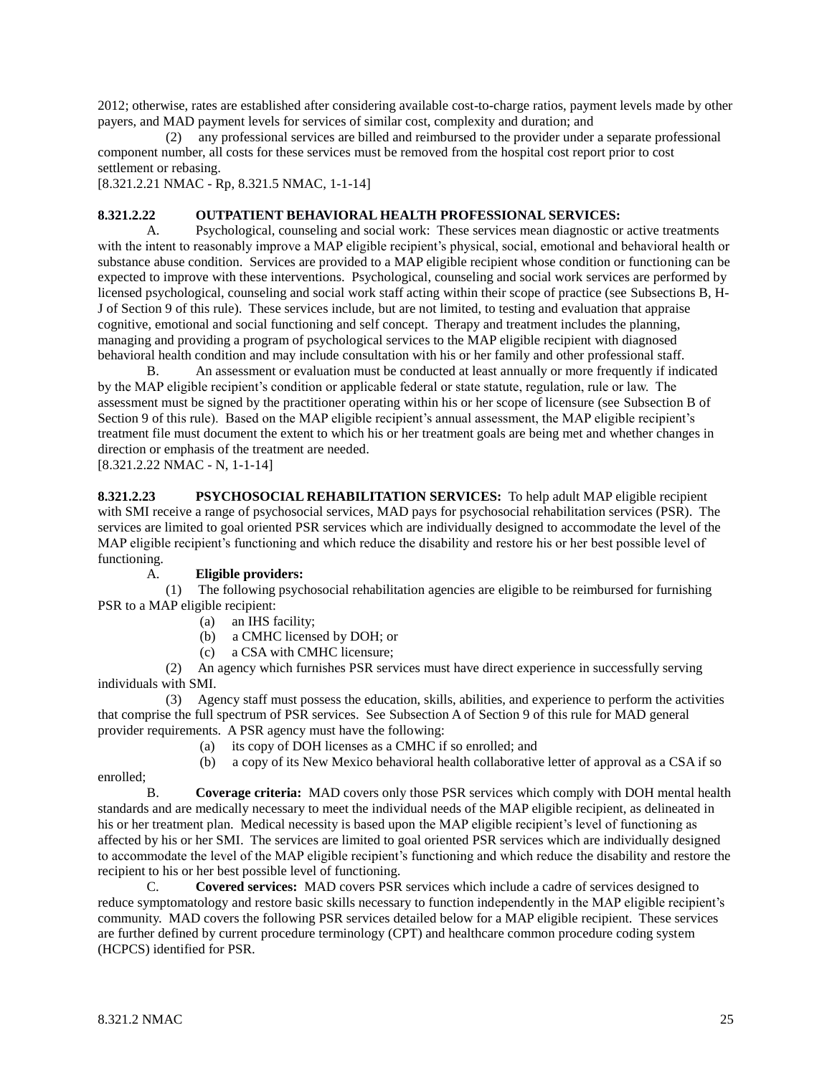2012; otherwise, rates are established after considering available cost-to-charge ratios, payment levels made by other payers, and MAD payment levels for services of similar cost, complexity and duration; and

 (2) any professional services are billed and reimbursed to the provider under a separate professional component number, all costs for these services must be removed from the hospital cost report prior to cost settlement or rebasing.

[8.321.2.21 NMAC - Rp, 8.321.5 NMAC, 1-1-14]

# **8.321.2.22 OUTPATIENT BEHAVIORAL HEALTH PROFESSIONAL SERVICES:**

A. Psychological, counseling and social work: These services mean diagnostic or active treatments with the intent to reasonably improve a MAP eligible recipient's physical, social, emotional and behavioral health or substance abuse condition. Services are provided to a MAP eligible recipient whose condition or functioning can be expected to improve with these interventions. Psychological, counseling and social work services are performed by licensed psychological, counseling and social work staff acting within their scope of practice (see Subsections B, H-J of Section 9 of this rule). These services include, but are not limited, to testing and evaluation that appraise cognitive, emotional and social functioning and self concept. Therapy and treatment includes the planning, managing and providing a program of psychological services to the MAP eligible recipient with diagnosed behavioral health condition and may include consultation with his or her family and other professional staff.

B. An assessment or evaluation must be conducted at least annually or more frequently if indicated by the MAP eligible recipient's condition or applicable federal or state statute, regulation, rule or law. The assessment must be signed by the practitioner operating within his or her scope of licensure (see Subsection B of Section 9 of this rule). Based on the MAP eligible recipient's annual assessment, the MAP eligible recipient's treatment file must document the extent to which his or her treatment goals are being met and whether changes in direction or emphasis of the treatment are needed.

[8.321.2.22 NMAC - N, 1-1-14]

**8.321.2.23 PSYCHOSOCIAL REHABILITATION SERVICES:** To help adult MAP eligible recipient with SMI receive a range of psychosocial services, MAD pays for psychosocial rehabilitation services (PSR). The services are limited to goal oriented PSR services which are individually designed to accommodate the level of the MAP eligible recipient's functioning and which reduce the disability and restore his or her best possible level of functioning.

# A. **Eligible providers:**

 (1) The following psychosocial rehabilitation agencies are eligible to be reimbursed for furnishing PSR to a MAP eligible recipient:

- (a) an IHS facility;
- (b) a CMHC licensed by DOH; or
- (c) a CSA with CMHC licensure;

 (2) An agency which furnishes PSR services must have direct experience in successfully serving individuals with SMI.

 (3) Agency staff must possess the education, skills, abilities, and experience to perform the activities that comprise the full spectrum of PSR services. See Subsection A of Section 9 of this rule for MAD general provider requirements. A PSR agency must have the following:

- (a) its copy of DOH licenses as a CMHC if so enrolled; and
- (b) a copy of its New Mexico behavioral health collaborative letter of approval as a CSA if so

enrolled;

B. **Coverage criteria:** MAD covers only those PSR services which comply with DOH mental health standards and are medically necessary to meet the individual needs of the MAP eligible recipient, as delineated in his or her treatment plan. Medical necessity is based upon the MAP eligible recipient's level of functioning as affected by his or her SMI. The services are limited to goal oriented PSR services which are individually designed to accommodate the level of the MAP eligible recipient's functioning and which reduce the disability and restore the recipient to his or her best possible level of functioning.

C. **Covered services:** MAD covers PSR services which include a cadre of services designed to reduce symptomatology and restore basic skills necessary to function independently in the MAP eligible recipient's community. MAD covers the following PSR services detailed below for a MAP eligible recipient. These services are further defined by current procedure terminology (CPT) and healthcare common procedure coding system (HCPCS) identified for PSR.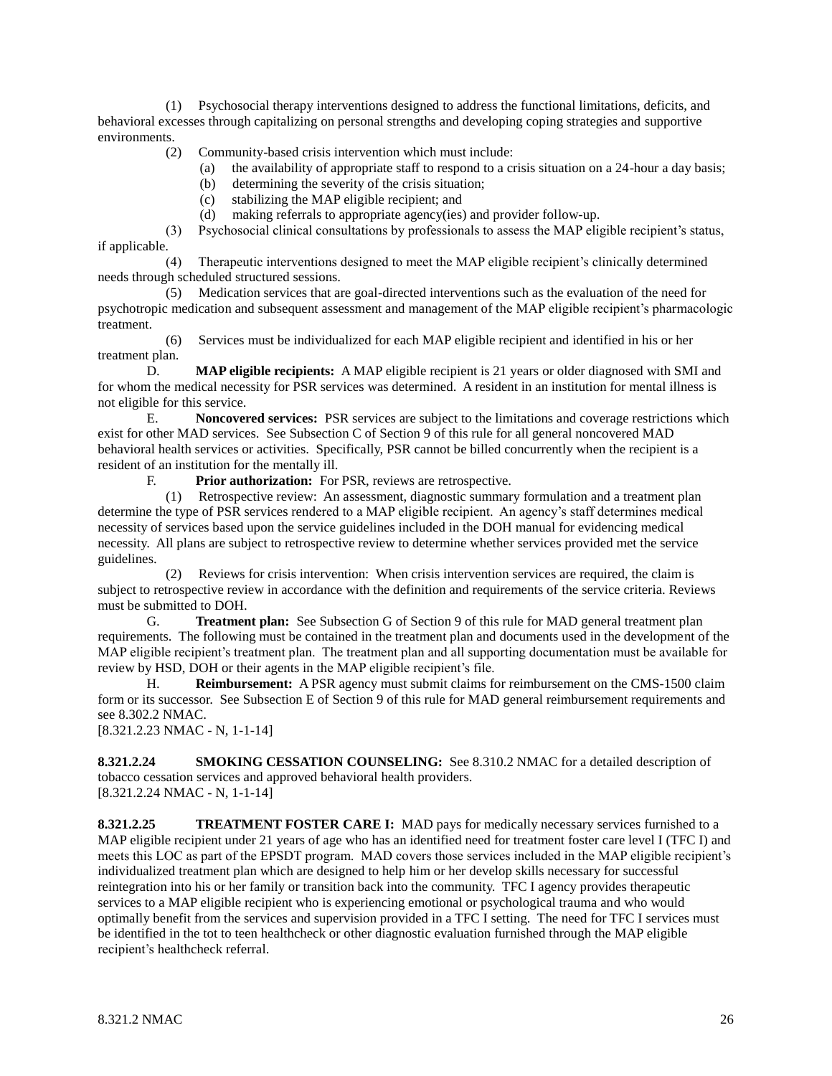(1) Psychosocial therapy interventions designed to address the functional limitations, deficits, and behavioral excesses through capitalizing on personal strengths and developing coping strategies and supportive environments.

(2) Community-based crisis intervention which must include:

- (a) the availability of appropriate staff to respond to a crisis situation on a 24-hour a day basis;
- (b) determining the severity of the crisis situation;
- (c) stabilizing the MAP eligible recipient; and
- (d) making referrals to appropriate agency(ies) and provider follow-up.

 (3) Psychosocial clinical consultations by professionals to assess the MAP eligible recipient's status, if applicable.

 (4) Therapeutic interventions designed to meet the MAP eligible recipient's clinically determined needs through scheduled structured sessions.

 (5) Medication services that are goal-directed interventions such as the evaluation of the need for psychotropic medication and subsequent assessment and management of the MAP eligible recipient's pharmacologic treatment.

 (6) Services must be individualized for each MAP eligible recipient and identified in his or her treatment plan.

D. **MAP eligible recipients:** A MAP eligible recipient is 21 years or older diagnosed with SMI and for whom the medical necessity for PSR services was determined. A resident in an institution for mental illness is not eligible for this service.

E. **Noncovered services:** PSR services are subject to the limitations and coverage restrictions which exist for other MAD services. See Subsection C of Section 9 of this rule for all general noncovered MAD behavioral health services or activities. Specifically, PSR cannot be billed concurrently when the recipient is a resident of an institution for the mentally ill.

F. **Prior authorization:** For PSR, reviews are retrospective.

 (1) Retrospective review: An assessment, diagnostic summary formulation and a treatment plan determine the type of PSR services rendered to a MAP eligible recipient. An agency's staff determines medical necessity of services based upon the service guidelines included in the DOH manual for evidencing medical necessity. All plans are subject to retrospective review to determine whether services provided met the service guidelines.

 (2) Reviews for crisis intervention: When crisis intervention services are required, the claim is subject to retrospective review in accordance with the definition and requirements of the service criteria. Reviews must be submitted to DOH.

G. **Treatment plan:** See Subsection G of Section 9 of this rule for MAD general treatment plan requirements. The following must be contained in the treatment plan and documents used in the development of the MAP eligible recipient's treatment plan. The treatment plan and all supporting documentation must be available for review by HSD, DOH or their agents in the MAP eligible recipient's file.

H. **Reimbursement:** A PSR agency must submit claims for reimbursement on the CMS-1500 claim form or its successor. See Subsection E of Section 9 of this rule for MAD general reimbursement requirements and see 8.302.2 NMAC.

[8.321.2.23 NMAC - N, 1-1-14]

**8.321.2.24 SMOKING CESSATION COUNSELING:** See 8.310.2 NMAC for a detailed description of tobacco cessation services and approved behavioral health providers. [8.321.2.24 NMAC - N, 1-1-14]

**8.321.2.25 TREATMENT FOSTER CARE I:** MAD pays for medically necessary services furnished to a MAP eligible recipient under 21 years of age who has an identified need for treatment foster care level I (TFC I) and meets this LOC as part of the EPSDT program. MAD covers those services included in the MAP eligible recipient's individualized treatment plan which are designed to help him or her develop skills necessary for successful reintegration into his or her family or transition back into the community. TFC I agency provides therapeutic services to a MAP eligible recipient who is experiencing emotional or psychological trauma and who would optimally benefit from the services and supervision provided in a TFC I setting. The need for TFC I services must be identified in the tot to teen healthcheck or other diagnostic evaluation furnished through the MAP eligible recipient's healthcheck referral.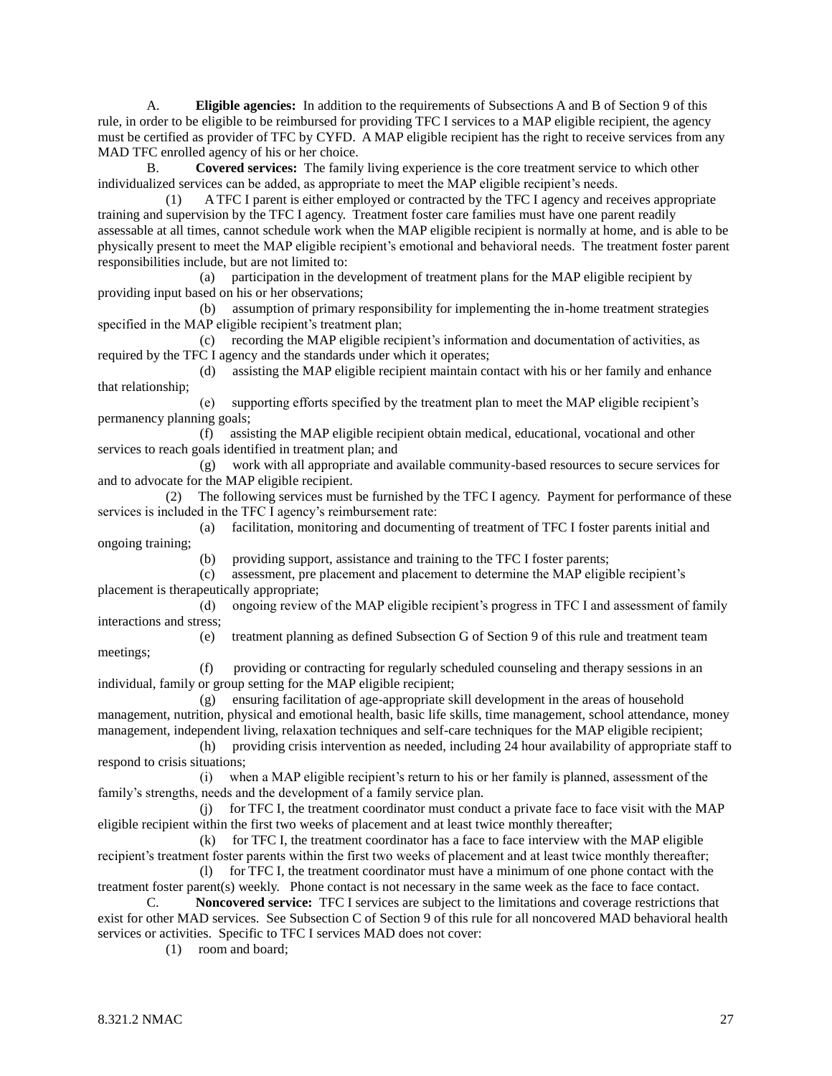A. **Eligible agencies:** In addition to the requirements of Subsections A and B of Section 9 of this rule, in order to be eligible to be reimbursed for providing TFC I services to a MAP eligible recipient, the agency must be certified as provider of TFC by CYFD. A MAP eligible recipient has the right to receive services from any MAD TFC enrolled agency of his or her choice.

B. **Covered services:** The family living experience is the core treatment service to which other individualized services can be added, as appropriate to meet the MAP eligible recipient's needs.

 (1) A TFC I parent is either employed or contracted by the TFC I agency and receives appropriate training and supervision by the TFC I agency. Treatment foster care families must have one parent readily assessable at all times, cannot schedule work when the MAP eligible recipient is normally at home, and is able to be physically present to meet the MAP eligible recipient's emotional and behavioral needs. The treatment foster parent responsibilities include, but are not limited to:

 (a) participation in the development of treatment plans for the MAP eligible recipient by providing input based on his or her observations;

 (b) assumption of primary responsibility for implementing the in-home treatment strategies specified in the MAP eligible recipient's treatment plan;

 (c) recording the MAP eligible recipient's information and documentation of activities, as required by the TFC I agency and the standards under which it operates;

 (d) assisting the MAP eligible recipient maintain contact with his or her family and enhance that relationship;

 (e) supporting efforts specified by the treatment plan to meet the MAP eligible recipient's permanency planning goals;

 (f) assisting the MAP eligible recipient obtain medical, educational, vocational and other services to reach goals identified in treatment plan; and

 (g) work with all appropriate and available community-based resources to secure services for and to advocate for the MAP eligible recipient.

 (2) The following services must be furnished by the TFC I agency. Payment for performance of these services is included in the TFC I agency's reimbursement rate:

 (a) facilitation, monitoring and documenting of treatment of TFC I foster parents initial and ongoing training;

(b) providing support, assistance and training to the TFC I foster parents;

 (c) assessment, pre placement and placement to determine the MAP eligible recipient's placement is therapeutically appropriate;

 (d) ongoing review of the MAP eligible recipient's progress in TFC I and assessment of family interactions and stress;

meetings;

(e) treatment planning as defined Subsection G of Section 9 of this rule and treatment team

 (f) providing or contracting for regularly scheduled counseling and therapy sessions in an individual, family or group setting for the MAP eligible recipient;

 (g) ensuring facilitation of age-appropriate skill development in the areas of household management, nutrition, physical and emotional health, basic life skills, time management, school attendance, money management, independent living, relaxation techniques and self-care techniques for the MAP eligible recipient;

 (h) providing crisis intervention as needed, including 24 hour availability of appropriate staff to respond to crisis situations;

 (i) when a MAP eligible recipient's return to his or her family is planned, assessment of the family's strengths, needs and the development of a family service plan.

 (j) for TFC I, the treatment coordinator must conduct a private face to face visit with the MAP eligible recipient within the first two weeks of placement and at least twice monthly thereafter;

 $(k)$  for TFC I, the treatment coordinator has a face to face interview with the MAP eligible recipient's treatment foster parents within the first two weeks of placement and at least twice monthly thereafter;

 (l) for TFC I, the treatment coordinator must have a minimum of one phone contact with the treatment foster parent(s) weekly. Phone contact is not necessary in the same week as the face to face contact.

C. **Noncovered service:** TFC I services are subject to the limitations and coverage restrictions that exist for other MAD services. See Subsection C of Section 9 of this rule for all noncovered MAD behavioral health services or activities. Specific to TFC I services MAD does not cover:

(1) room and board;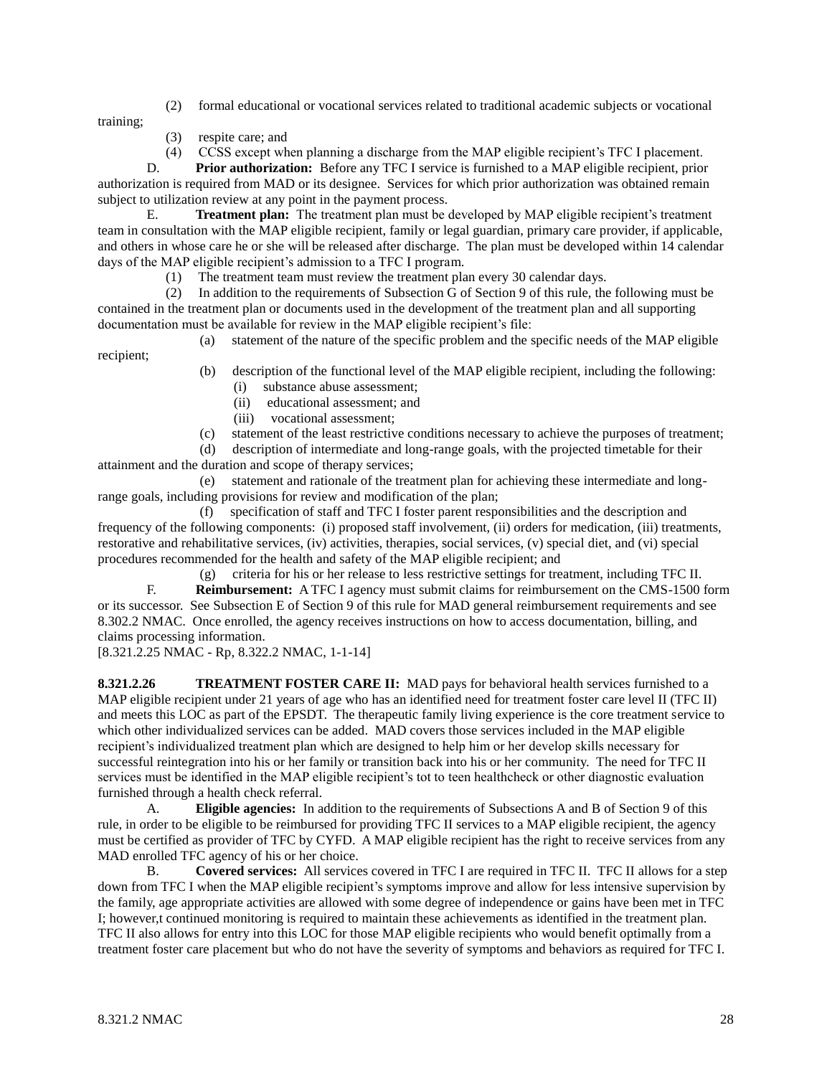(2) formal educational or vocational services related to traditional academic subjects or vocational

training;

- (3) respite care; and
- (4) CCSS except when planning a discharge from the MAP eligible recipient's TFC I placement.

D. **Prior authorization:** Before any TFC I service is furnished to a MAP eligible recipient, prior authorization is required from MAD or its designee. Services for which prior authorization was obtained remain subject to utilization review at any point in the payment process.

E. **Treatment plan:** The treatment plan must be developed by MAP eligible recipient's treatment team in consultation with the MAP eligible recipient, family or legal guardian, primary care provider, if applicable, and others in whose care he or she will be released after discharge. The plan must be developed within 14 calendar days of the MAP eligible recipient's admission to a TFC I program.

(1) The treatment team must review the treatment plan every 30 calendar days.

 (2) In addition to the requirements of Subsection G of Section 9 of this rule, the following must be contained in the treatment plan or documents used in the development of the treatment plan and all supporting documentation must be available for review in the MAP eligible recipient's file:

(a) statement of the nature of the specific problem and the specific needs of the MAP eligible

recipient;

- (b) description of the functional level of the MAP eligible recipient, including the following:
	- (i) substance abuse assessment;
	- (ii) educational assessment; and
	- (iii) vocational assessment;
- (c) statement of the least restrictive conditions necessary to achieve the purposes of treatment;

 (d) description of intermediate and long-range goals, with the projected timetable for their attainment and the duration and scope of therapy services;

 (e) statement and rationale of the treatment plan for achieving these intermediate and longrange goals, including provisions for review and modification of the plan;

 (f) specification of staff and TFC I foster parent responsibilities and the description and frequency of the following components: (i) proposed staff involvement, (ii) orders for medication, (iii) treatments, restorative and rehabilitative services, (iv) activities, therapies, social services, (v) special diet, and (vi) special procedures recommended for the health and safety of the MAP eligible recipient; and

 (g) criteria for his or her release to less restrictive settings for treatment, including TFC II. F. **Reimbursement:** A TFC I agency must submit claims for reimbursement on the CMS-1500 form or its successor. See Subsection E of Section 9 of this rule for MAD general reimbursement requirements and see 8.302.2 NMAC. Once enrolled, the agency receives instructions on how to access documentation, billing, and claims processing information.

[8.321.2.25 NMAC - Rp, 8.322.2 NMAC, 1-1-14]

**8.321.2.26 TREATMENT FOSTER CARE II:** MAD pays for behavioral health services furnished to a MAP eligible recipient under 21 years of age who has an identified need for treatment foster care level II (TFC II) and meets this LOC as part of the EPSDT. The therapeutic family living experience is the core treatment service to which other individualized services can be added. MAD covers those services included in the MAP eligible recipient's individualized treatment plan which are designed to help him or her develop skills necessary for successful reintegration into his or her family or transition back into his or her community. The need for TFC II services must be identified in the MAP eligible recipient's tot to teen healthcheck or other diagnostic evaluation furnished through a health check referral.

A. **Eligible agencies:** In addition to the requirements of Subsections A and B of Section 9 of this rule, in order to be eligible to be reimbursed for providing TFC II services to a MAP eligible recipient, the agency must be certified as provider of TFC by CYFD. A MAP eligible recipient has the right to receive services from any MAD enrolled TFC agency of his or her choice.

B. **Covered services:** All services covered in TFC I are required in TFC II. TFC II allows for a step down from TFC I when the MAP eligible recipient's symptoms improve and allow for less intensive supervision by the family, age appropriate activities are allowed with some degree of independence or gains have been met in TFC I; however,t continued monitoring is required to maintain these achievements as identified in the treatment plan. TFC II also allows for entry into this LOC for those MAP eligible recipients who would benefit optimally from a treatment foster care placement but who do not have the severity of symptoms and behaviors as required for TFC I.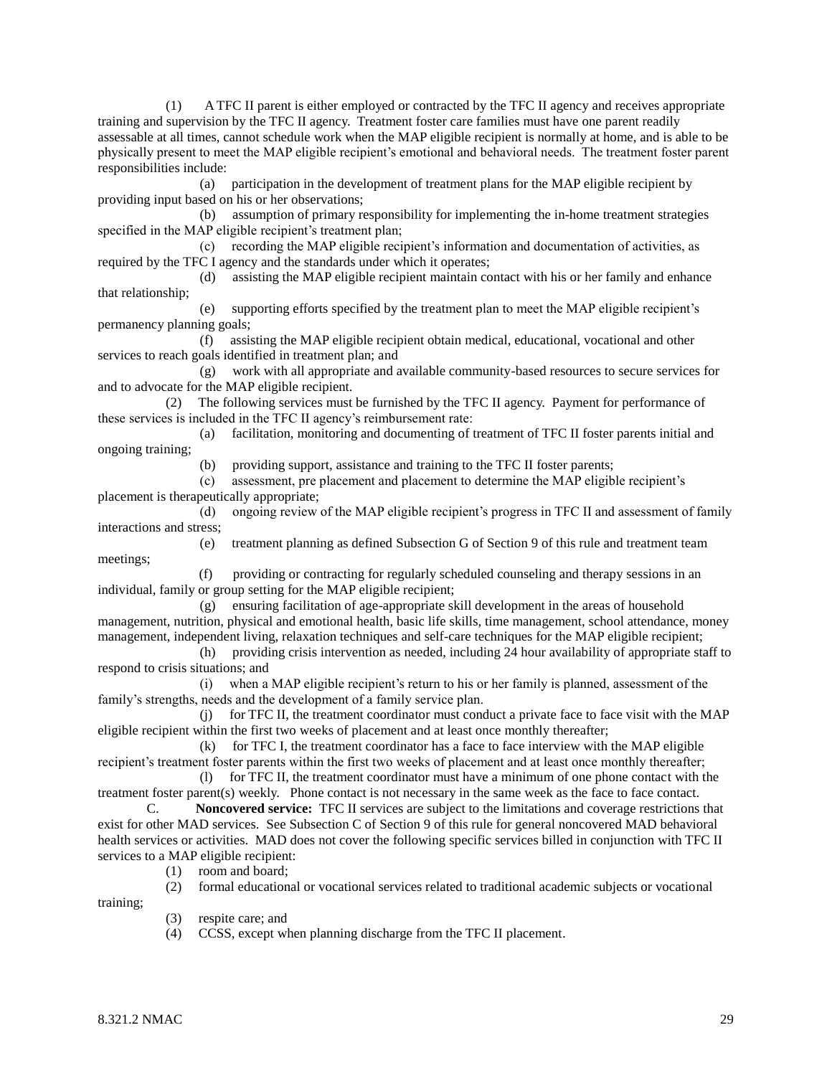(1) A TFC II parent is either employed or contracted by the TFC II agency and receives appropriate training and supervision by the TFC II agency. Treatment foster care families must have one parent readily assessable at all times, cannot schedule work when the MAP eligible recipient is normally at home, and is able to be physically present to meet the MAP eligible recipient's emotional and behavioral needs. The treatment foster parent responsibilities include:

 (a) participation in the development of treatment plans for the MAP eligible recipient by providing input based on his or her observations;

 (b) assumption of primary responsibility for implementing the in-home treatment strategies specified in the MAP eligible recipient's treatment plan;

 (c) recording the MAP eligible recipient's information and documentation of activities, as required by the TFC I agency and the standards under which it operates;

 (d) assisting the MAP eligible recipient maintain contact with his or her family and enhance that relationship;

 (e) supporting efforts specified by the treatment plan to meet the MAP eligible recipient's permanency planning goals;

 (f) assisting the MAP eligible recipient obtain medical, educational, vocational and other services to reach goals identified in treatment plan; and

 (g) work with all appropriate and available community-based resources to secure services for and to advocate for the MAP eligible recipient.

 (2) The following services must be furnished by the TFC II agency. Payment for performance of these services is included in the TFC II agency's reimbursement rate:

 (a) facilitation, monitoring and documenting of treatment of TFC II foster parents initial and ongoing training;

(b) providing support, assistance and training to the TFC II foster parents;

 (c) assessment, pre placement and placement to determine the MAP eligible recipient's placement is therapeutically appropriate;

 (d) ongoing review of the MAP eligible recipient's progress in TFC II and assessment of family interactions and stress; (e) treatment planning as defined Subsection G of Section 9 of this rule and treatment team

meetings;

(f) providing or contracting for regularly scheduled counseling and therapy sessions in an individual, family or group setting for the MAP eligible recipient;

 (g) ensuring facilitation of age-appropriate skill development in the areas of household management, nutrition, physical and emotional health, basic life skills, time management, school attendance, money management, independent living, relaxation techniques and self-care techniques for the MAP eligible recipient;

 (h) providing crisis intervention as needed, including 24 hour availability of appropriate staff to respond to crisis situations; and

 (i) when a MAP eligible recipient's return to his or her family is planned, assessment of the family's strengths, needs and the development of a family service plan.

 (j) for TFC II, the treatment coordinator must conduct a private face to face visit with the MAP eligible recipient within the first two weeks of placement and at least once monthly thereafter;

 (k) for TFC I, the treatment coordinator has a face to face interview with the MAP eligible recipient's treatment foster parents within the first two weeks of placement and at least once monthly thereafter;

 (l) for TFC II, the treatment coordinator must have a minimum of one phone contact with the treatment foster parent(s) weekly. Phone contact is not necessary in the same week as the face to face contact.

C. **Noncovered service:** TFC II services are subject to the limitations and coverage restrictions that exist for other MAD services. See Subsection C of Section 9 of this rule for general noncovered MAD behavioral health services or activities. MAD does not cover the following specific services billed in conjunction with TFC II services to a MAP eligible recipient:

(1) room and board;

(2) formal educational or vocational services related to traditional academic subjects or vocational

training;

- (3) respite care; and
- (4) CCSS, except when planning discharge from the TFC II placement.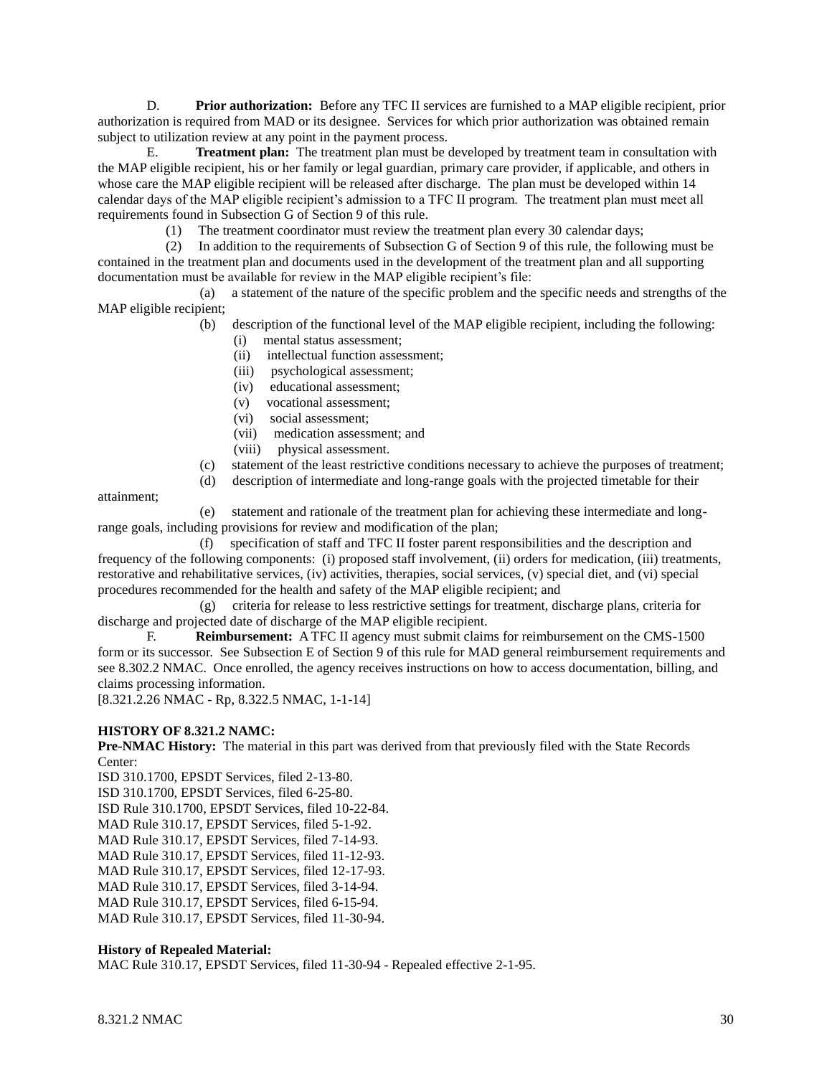D. **Prior authorization:** Before any TFC II services are furnished to a MAP eligible recipient, prior authorization is required from MAD or its designee. Services for which prior authorization was obtained remain subject to utilization review at any point in the payment process.

E. **Treatment plan:** The treatment plan must be developed by treatment team in consultation with the MAP eligible recipient, his or her family or legal guardian, primary care provider, if applicable, and others in whose care the MAP eligible recipient will be released after discharge. The plan must be developed within 14 calendar days of the MAP eligible recipient's admission to a TFC II program. The treatment plan must meet all requirements found in Subsection G of Section 9 of this rule.

(1) The treatment coordinator must review the treatment plan every 30 calendar days;

 (2) In addition to the requirements of Subsection G of Section 9 of this rule, the following must be contained in the treatment plan and documents used in the development of the treatment plan and all supporting documentation must be available for review in the MAP eligible recipient's file:

 (a) a statement of the nature of the specific problem and the specific needs and strengths of the MAP eligible recipient;

- (b) description of the functional level of the MAP eligible recipient, including the following:
	- (i) mental status assessment;
	- (ii) intellectual function assessment;
	- (iii) psychological assessment;
	- (iv) educational assessment;
	- (v) vocational assessment;
	- (vi) social assessment;
	- (vii) medication assessment; and
	- (viii) physical assessment.
- (c) statement of the least restrictive conditions necessary to achieve the purposes of treatment;
- (d) description of intermediate and long-range goals with the projected timetable for their

attainment;

 (e) statement and rationale of the treatment plan for achieving these intermediate and longrange goals, including provisions for review and modification of the plan;

 (f) specification of staff and TFC II foster parent responsibilities and the description and frequency of the following components: (i) proposed staff involvement, (ii) orders for medication, (iii) treatments, restorative and rehabilitative services, (iv) activities, therapies, social services, (v) special diet, and (vi) special procedures recommended for the health and safety of the MAP eligible recipient; and

 (g) criteria for release to less restrictive settings for treatment, discharge plans, criteria for discharge and projected date of discharge of the MAP eligible recipient.

F. **Reimbursement:** A TFC II agency must submit claims for reimbursement on the CMS-1500 form or its successor. See Subsection E of Section 9 of this rule for MAD general reimbursement requirements and see 8.302.2 NMAC. Once enrolled, the agency receives instructions on how to access documentation, billing, and claims processing information.

[8.321.2.26 NMAC - Rp, 8.322.5 NMAC, 1-1-14]

#### **HISTORY OF 8.321.2 NAMC:**

**Pre-NMAC History:** The material in this part was derived from that previously filed with the State Records Center:

ISD 310.1700, EPSDT Services, filed 2-13-80.

ISD 310.1700, EPSDT Services, filed 6-25-80.

ISD Rule 310.1700, EPSDT Services, filed 10-22-84.

MAD Rule 310.17, EPSDT Services, filed 5-1-92.

MAD Rule 310.17, EPSDT Services, filed 7-14-93.

MAD Rule 310.17, EPSDT Services, filed 11-12-93.

MAD Rule 310.17, EPSDT Services, filed 12-17-93.

MAD Rule 310.17, EPSDT Services, filed 3-14-94.

MAD Rule 310.17, EPSDT Services, filed 6-15-94.

MAD Rule 310.17, EPSDT Services, filed 11-30-94.

#### **History of Repealed Material:**

MAC Rule 310.17, EPSDT Services, filed 11-30-94 - Repealed effective 2-1-95.